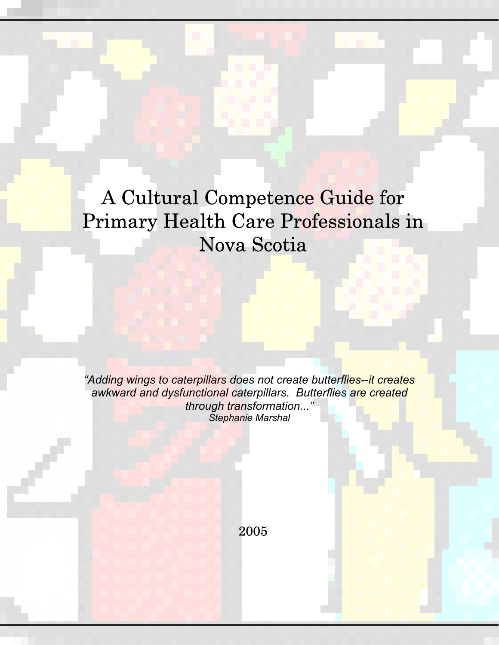A Cultural Competence Guide for Primary Health Care Professionals in Nova Scotia

*"Adding wings to caterpillars does not create butterflies--it creates awkward and dysfunctional caterpillars. Butterflies are created through transformation..." Stephanie Marshal* 

2005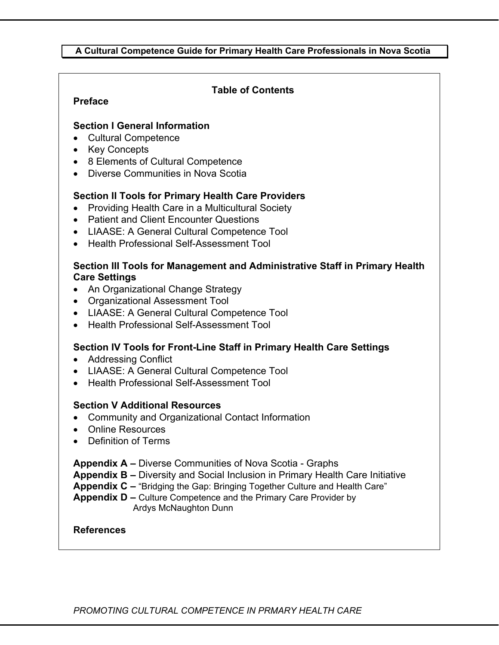#### **A Cultural Competence Guide for Primary Health Care Professionals in Nova Scotia**

#### **Table of Contents**

#### **Preface**

#### **Section I General Information**

- Cultural Competence
- Key Concepts
- 8 Elements of Cultural Competence
- Diverse Communities in Nova Scotia

#### **Section II Tools for Primary Health Care Providers**

- Providing Health Care in a Multicultural Society
- Patient and Client Encounter Questions
- LIAASE: A General Cultural Competence Tool
- Health Professional Self-Assessment Tool

#### **Section III Tools for Management and Administrative Staff in Primary Health Care Settings**

- An Organizational Change Strategy
- Organizational Assessment Tool
- LIAASE: A General Cultural Competence Tool
- Health Professional Self-Assessment Tool

#### **Section IV Tools for Front-Line Staff in Primary Health Care Settings**

- Addressing Conflict
- LIAASE: A General Cultural Competence Tool
- Health Professional Self-Assessment Tool

#### **Section V Additional Resources**

- Community and Organizational Contact Information
- Online Resources
- Definition of Terms

**Appendix A –** Diverse Communities of Nova Scotia - Graphs

**Appendix B –** Diversity and Social Inclusion in Primary Health Care Initiative

**Appendix C –** "Bridging the Gap: Bringing Together Culture and Health Care"

**Appendix D –** Culture Competence and the Primary Care Provider by Ardys McNaughton Dunn

#### **References**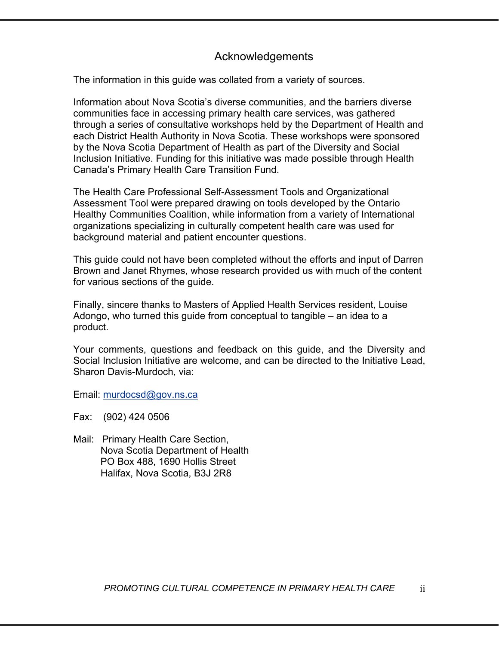### Acknowledgements

The information in this guide was collated from a variety of sources.

Information about Nova Scotia's diverse communities, and the barriers diverse communities face in accessing primary health care services, was gathered through a series of consultative workshops held by the Department of Health and each District Health Authority in Nova Scotia. These workshops were sponsored by the Nova Scotia Department of Health as part of the Diversity and Social Inclusion Initiative. Funding for this initiative was made possible through Health Canada's Primary Health Care Transition Fund.

The Health Care Professional Self-Assessment Tools and Organizational Assessment Tool were prepared drawing on tools developed by the Ontario Healthy Communities Coalition, while information from a variety of International organizations specializing in culturally competent health care was used for background material and patient encounter questions.

This guide could not have been completed without the efforts and input of Darren Brown and Janet Rhymes, whose research provided us with much of the content for various sections of the guide.

Finally, sincere thanks to Masters of Applied Health Services resident, Louise Adongo, who turned this guide from conceptual to tangible – an idea to a product.

Your comments, questions and feedback on this guide, and the Diversity and Social Inclusion Initiative are welcome, and can be directed to the Initiative Lead, Sharon Davis-Murdoch, via:

Email: murdocsd@gov.ns.ca

Fax: (902) 424 0506

Mail: Primary Health Care Section, Nova Scotia Department of Health PO Box 488, 1690 Hollis Street Halifax, Nova Scotia, B3J 2R8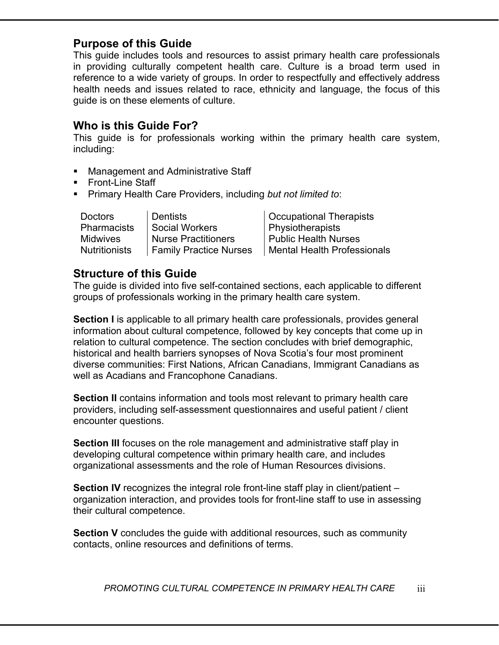### **Purpose of this Guide**

This guide includes tools and resources to assist primary health care professionals in providing culturally competent health care. Culture is a broad term used in reference to a wide variety of groups. In order to respectfully and effectively address health needs and issues related to race, ethnicity and language, the focus of this guide is on these elements of culture.

### **Who is this Guide For?**

This guide is for professionals working within the primary health care system, including:

- Management and Administrative Staff
- Front-Line Staff
- Primary Health Care Providers, including *but not limited to*:

Pharmacists Social Workers Physiotherapists

Doctors Dentists | Occupational Therapists Midwives | Nurse Practitioners | Public Health Nurses Nutritionists | Family Practice Nurses | Mental Health Professionals

### **Structure of this Guide**

The guide is divided into five self-contained sections, each applicable to different groups of professionals working in the primary health care system.

**Section I** is applicable to all primary health care professionals, provides general information about cultural competence, followed by key concepts that come up in relation to cultural competence. The section concludes with brief demographic, historical and health barriers synopses of Nova Scotia's four most prominent diverse communities: First Nations, African Canadians, Immigrant Canadians as well as Acadians and Francophone Canadians.

**Section II** contains information and tools most relevant to primary health care providers, including self-assessment questionnaires and useful patient / client encounter questions.

**Section III** focuses on the role management and administrative staff play in developing cultural competence within primary health care, and includes organizational assessments and the role of Human Resources divisions.

**Section IV** recognizes the integral role front-line staff play in client/patient – organization interaction, and provides tools for front-line staff to use in assessing their cultural competence.

**Section V** concludes the guide with additional resources, such as community contacts, online resources and definitions of terms.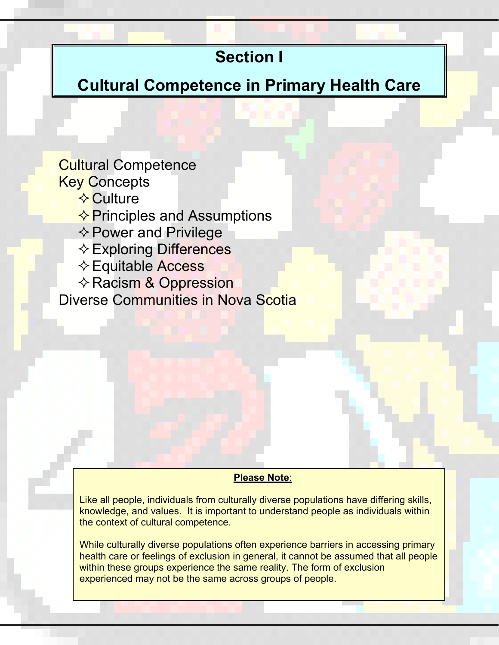# **Section I**

**Cultural Competence in Primary Health Care** 

# Cultural Competence **Key Concepts**

- $\Diamond$  Culture
- $\Diamond$  Principles and Assumptions
- $\Leftrightarrow$  Power and Privilege
- Exploring Differences
- Equitable Access
- $\Leftrightarrow$  Racism & Oppression

Diverse Communities in Nova Scotia

#### **Please Note**:

Like all people, individuals from culturally diverse populations have differing skills, knowledge, and values. It is important to understand people as individuals within the context of cultural competence.

*PROMOTING CULTURAL COMPETENCE IN PRIMARY HEALTH CARE* 2 While culturally diverse populations often experience barriers in accessing primary health care or feelings of exclusion in general, it cannot be assumed that all people within these groups experience the same reality. The form of exclusion experienced may not be the same across groups of people.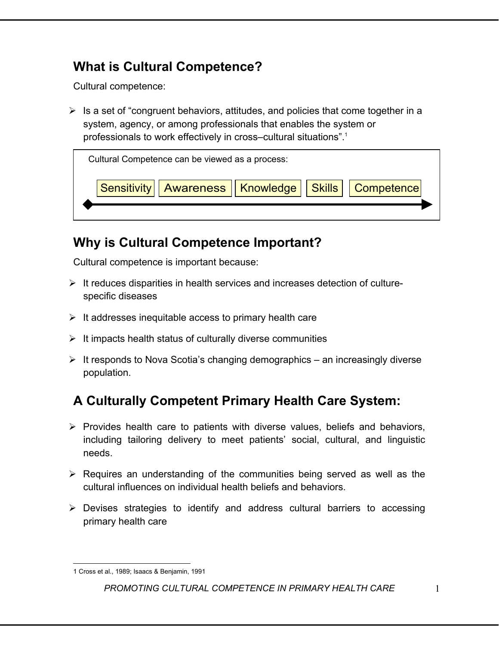# **What is Cultural Competence?**

Cultural competence:

 $\triangleright$  Is a set of "congruent behaviors, attitudes, and policies that come together in a system, agency, or among professionals that enables the system or professionals to work effectively in cross–cultural situations".1



# **Why is Cultural Competence Important?**

Cultural competence is important because:

- $\triangleright$  It reduces disparities in health services and increases detection of culturespecific diseases
- $\triangleright$  It addresses inequitable access to primary health care
- $\triangleright$  It impacts health status of culturally diverse communities
- $\triangleright$  It responds to Nova Scotia's changing demographics an increasingly diverse population.

# **A Culturally Competent Primary Health Care System:**

- $\triangleright$  Provides health care to patients with diverse values, beliefs and behaviors, including tailoring delivery to meet patients' social, cultural, and linguistic needs.
- $\triangleright$  Requires an understanding of the communities being served as well as the cultural influences on individual health beliefs and behaviors.
- $\triangleright$  Devises strategies to identify and address cultural barriers to accessing primary health care

 $\overline{a}$ 1 Cross et al., 1989; Isaacs & Benjamin, 1991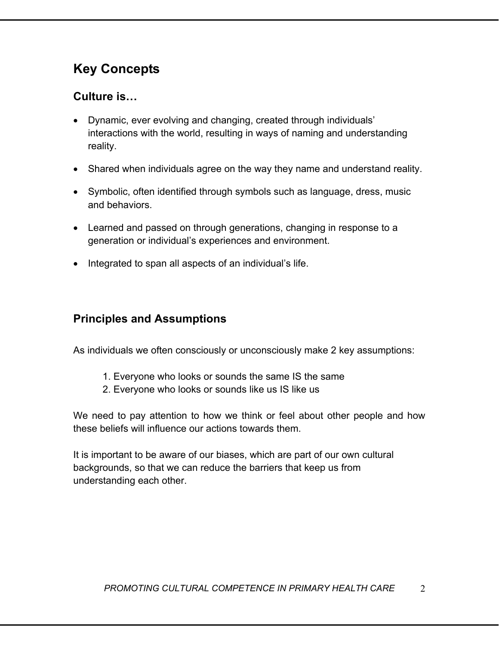# **Key Concepts**

### **Culture is…**

- Dynamic, ever evolving and changing, created through individuals' interactions with the world, resulting in ways of naming and understanding reality.
- Shared when individuals agree on the way they name and understand reality.
- Symbolic, often identified through symbols such as language, dress, music and behaviors.
- Learned and passed on through generations, changing in response to a generation or individual's experiences and environment.
- Integrated to span all aspects of an individual's life.

# **Principles and Assumptions**

As individuals we often consciously or unconsciously make 2 key assumptions:

- 1. Everyone who looks or sounds the same IS the same
- 2. Everyone who looks or sounds like us IS like us

We need to pay attention to how we think or feel about other people and how these beliefs will influence our actions towards them.

It is important to be aware of our biases, which are part of our own cultural backgrounds, so that we can reduce the barriers that keep us from understanding each other.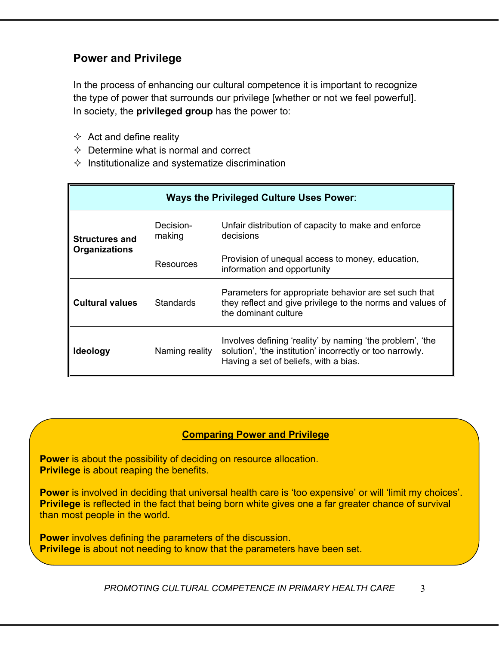# **Power and Privilege**

In the process of enhancing our cultural competence it is important to recognize the type of power that surrounds our privilege [whether or not we feel powerful]. In society, the **privileged group** has the power to:

- $\Leftrightarrow$  Act and define reality
- $\Diamond$  Determine what is normal and correct
- $\Diamond$  Institutionalize and systematize discrimination

| <b>Ways the Privileged Culture Uses Power:</b> |                     |                                                                                                                                                                 |  |  |
|------------------------------------------------|---------------------|-----------------------------------------------------------------------------------------------------------------------------------------------------------------|--|--|
| <b>Structures and</b>                          | Decision-<br>making | Unfair distribution of capacity to make and enforce<br>decisions                                                                                                |  |  |
| <b>Organizations</b>                           | Resources           | Provision of unequal access to money, education,<br>information and opportunity                                                                                 |  |  |
| <b>Cultural values</b>                         | <b>Standards</b>    | Parameters for appropriate behavior are set such that<br>they reflect and give privilege to the norms and values of<br>the dominant culture                     |  |  |
| <b>Ideology</b>                                | Naming reality      | Involves defining 'reality' by naming 'the problem', 'the<br>solution', 'the institution' incorrectly or too narrowly.<br>Having a set of beliefs, with a bias. |  |  |

#### **Comparing Power and Privilege**

**Power** is about the possibility of deciding on resource allocation. **Privilege** is about reaping the benefits.

**Power** is involved in deciding that universal health care is 'too expensive' or will 'limit my choices'. **Privilege** is reflected in the fact that being born white gives one a far greater chance of survival than most people in the world.

**Power** involves defining the parameters of the discussion. **Privilege** is about not needing to know that the parameters have been set.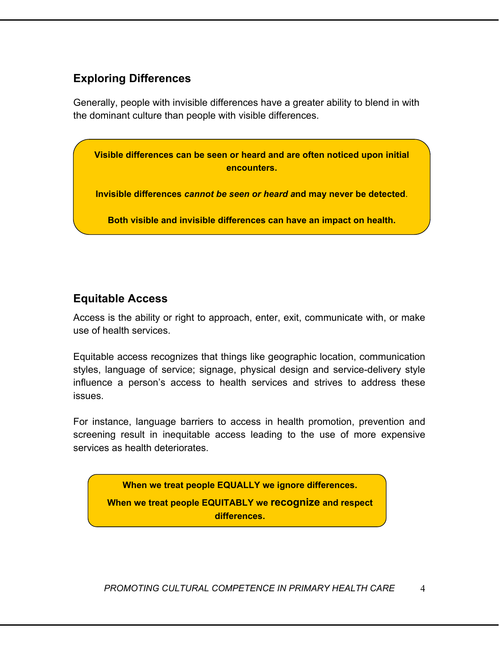### **Exploring Differences**

Generally, people with invisible differences have a greater ability to blend in with the dominant culture than people with visible differences.

**Visible differences can be seen or heard and are often noticed upon initial encounters.** 

**Invisible differences** *cannot be seen or heard a***nd may never be detected**.

**Both visible and invisible differences can have an impact on health.**

## **Equitable Access**

Access is the ability or right to approach, enter, exit, communicate with, or make use of health services.

Equitable access recognizes that things like geographic location, communication styles, language of service; signage, physical design and service-delivery style influence a person's access to health services and strives to address these issues.

For instance, language barriers to access in health promotion, prevention and screening result in inequitable access leading to the use of more expensive services as health deteriorates.

**When we treat people EQUALLY we ignore differences. When we treat people EQUITABLY we recognize and respect differences.**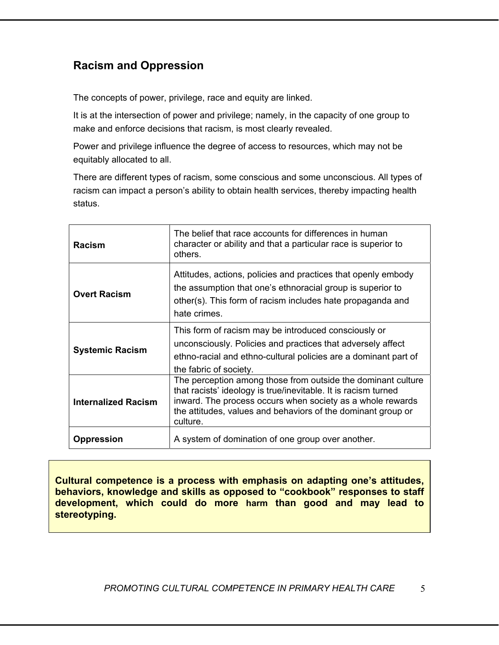# **Racism and Oppression**

The concepts of power, privilege, race and equity are linked.

It is at the intersection of power and privilege; namely, in the capacity of one group to make and enforce decisions that racism, is most clearly revealed.

Power and privilege influence the degree of access to resources, which may not be equitably allocated to all.

There are different types of racism, some conscious and some unconscious. All types of racism can impact a person's ability to obtain health services, thereby impacting health status.

| <b>Racism</b>              | The belief that race accounts for differences in human<br>character or ability and that a particular race is superior to<br>others.                                                                                                                                      |
|----------------------------|--------------------------------------------------------------------------------------------------------------------------------------------------------------------------------------------------------------------------------------------------------------------------|
| <b>Overt Racism</b>        | Attitudes, actions, policies and practices that openly embody<br>the assumption that one's ethnoracial group is superior to<br>other(s). This form of racism includes hate propaganda and<br>hate crimes.                                                                |
| <b>Systemic Racism</b>     | This form of racism may be introduced consciously or<br>unconsciously. Policies and practices that adversely affect<br>ethno-racial and ethno-cultural policies are a dominant part of<br>the fabric of society.                                                         |
| <b>Internalized Racism</b> | The perception among those from outside the dominant culture<br>that racists' ideology is true/inevitable. It is racism turned<br>inward. The process occurs when society as a whole rewards<br>the attitudes, values and behaviors of the dominant group or<br>culture. |
| <b>Oppression</b>          | A system of domination of one group over another.                                                                                                                                                                                                                        |

**Cultural competence is a process with emphasis on adapting one's attitudes, behaviors, knowledge and skills as opposed to "cookbook" responses to staff development, which could do more harm than good and may lead to stereotyping.**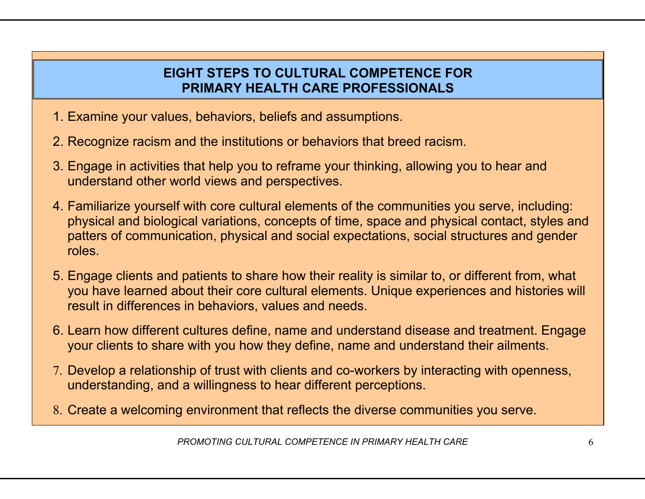# **EIGHT STEPS TO CULTURAL COMPETENCE FOR PRIMARY HEALTH CARE PROFESSIONALS**

- 1. Examine your values, behaviors, beliefs and assumptions.
- 2. Recognize racism and the institutions or behaviors that breed racism.
- 3. Engage in activities that help you to reframe your thinking, allowing you to hear and understand other world views and perspectives.
- 4. Familiarize yourself with core cultural elements of the communities you serve, including: physical and biological variations, concepts of time, space and physical contact, styles and patters of communication, physical and social expectations, social structures and gender roles.
- 5. Engage clients and patients to share how their reality is similar to, or different from, what you have learned about their core cultural elements. Unique experiences and histories will result in differences in behaviors, values and needs.
- 6. Learn how different cultures define, name and understand disease and treatment. Engage your clients to share with you how they define, name and understand their ailments.
- 7. Develop a relationship of trust with clients and co-workers by interacting with openness, understanding, and a willingness to hear different perceptions.
- 8. Create a welcoming environment that reflects the diverse communities you serve.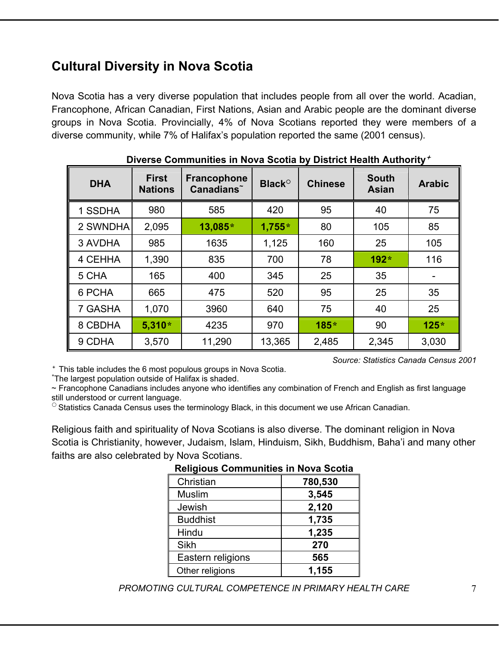# **Cultural Diversity in Nova Scotia**

Nova Scotia has a very diverse population that includes people from all over the world. Acadian, Francophone, African Canadian, First Nations, Asian and Arabic people are the dominant diverse groups in Nova Scotia. Provincially, 4% of Nova Scotians reported they were members of a diverse community, while 7% of Halifax's population reported the same (2001 census).

|            | <b>PIOGIO, ITOGICI / WGIOTICY</b> |                                             |                          |                |                              |               |
|------------|-----------------------------------|---------------------------------------------|--------------------------|----------------|------------------------------|---------------|
| <b>DHA</b> | <b>First</b><br><b>Nations</b>    | Francophone<br><b>Canadians<sup>~</sup></b> | <b>Black<sup>o</sup></b> | <b>Chinese</b> | <b>South</b><br><b>Asian</b> | <b>Arabic</b> |
| 1 SSDHA    | 980                               | 585                                         | 420                      | 95             | 40                           | 75            |
| 2 SWNDHA   | 2,095                             | 13,085*                                     | $1,755*$                 | 80             | 105                          | 85            |
| 3 AVDHA    | 985                               | 1635                                        | 1,125                    | 160            | 25                           | 105           |
| 4 CEHHA    | 1,390                             | 835                                         | 700                      | 78             | 192*                         | 116           |
| 5 CHA      | 165                               | 400                                         | 345                      | 25             | 35                           |               |
| 6 PCHA     | 665                               | 475                                         | 520                      | 95             | 25                           | 35            |
| 7 GASHA    | 1,070                             | 3960                                        | 640                      | 75             | 40                           | 25            |
| 8 CBDHA    | $5,310*$                          | 4235                                        | 970                      | 185*           | 90                           | $125*$        |
| 9 CDHA     | 3,570                             | 11,290                                      | 13,365                   | 2,485          | 2,345                        | 3,030         |

**Diverse Communities in Nova Scotia by District Health Authority**<sup>É</sup>

<sup>+</sup> This table includes the 6 most populous groups in Nova Scotia.

The largest population outside of Halifax is shaded.

~ Francophone Canadians includes anyone who identifies any combination of French and English as first language still understood or current language.

 $\circ$  Statistics Canada Census uses the terminology Black, in this document we use African Canadian.

Religious faith and spirituality of Nova Scotians is also diverse. The dominant religion in Nova Scotia is Christianity, however, Judaism, Islam, Hinduism, Sikh, Buddhism, Baha'i and many other faiths are also celebrated by Nova Scotians.

| Religious Communities in Nova Scotia |         |  |
|--------------------------------------|---------|--|
| Christian                            | 780,530 |  |
| <b>Muslim</b>                        | 3,545   |  |
| Jewish                               | 2,120   |  |
| <b>Buddhist</b>                      | 1,735   |  |
| Hindu                                | 1,235   |  |
| Sikh                                 | 270     |  |
| Eastern religions                    | 565     |  |
| Other religions                      | 1,155   |  |

### **Religious Communities in Nova Scotia**

*PROMOTING CULTURAL COMPETENCE IN PRIMARY HEALTH CARE* 7

*Source: Statistics Canada Census 2001*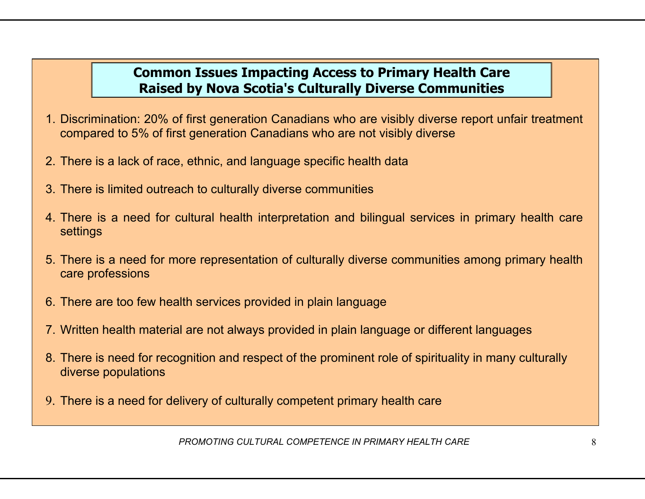# **Common Issues Impacting Access to Primary Health Care Raised by Nova Scotia's Culturally Diverse Communities**

- 1. Discrimination: 20% of first generation Canadians who are visibly diverse report unfair treatment compared to 5% of first generation Canadians who are not visibly diverse
- 2. There is a lack of race, ethnic, and language specific health data
- 3. There is limited outreach to culturally diverse communities
- 4. There is a need for cultural health interpretation and bilingual services in primary health care settings
- 5. There is a need for more representation of culturally diverse communities among primary health care professions
- 6. There are too few health services provided in plain language
- 7. Written health material are not always provided in plain language or different languages
- 8. There is need for recognition and respect of the prominent role of spirituality in many culturally diverse populations
- 9. There is a need for delivery of culturally competent primary health care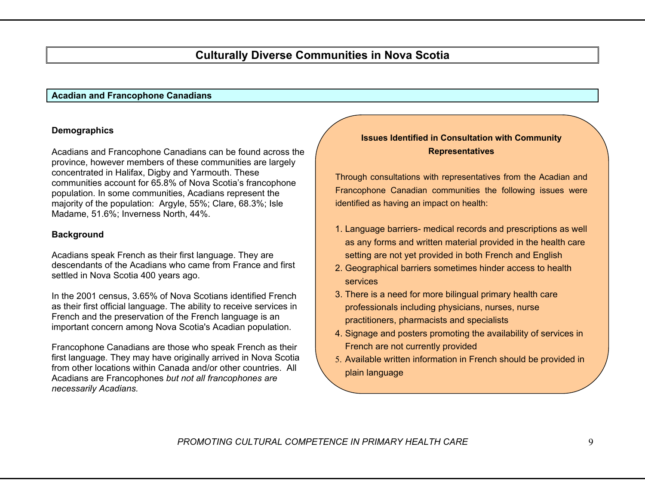### **Culturally Diverse Communities in Nova Scotia**

#### **Acadian and Francophone Canadians**

#### **Demographics**

Acadians and Francophone Canadians can be found across the province, however members of these communities are largely concentrated in Halifax, Digby and Yarmouth. These communities account for 65.8% of Nova Scotia's francophone population. In some communities, Acadians represent the majority of the population: Argyle, 55%; Clare, 68.3%; Isle Madame, 51.6%; Inverness North, 44%.

#### **Background**

Acadians speak French as their first language. They are descendants of the Acadians who came from France and first settled in Nova Scotia 400 years ago.

In the 2001 census, 3.65% of Nova Scotians identified French as their first official language. The ability to receive services in French and the preservation of the French language is an important concern among Nova Scotia's Acadian population.

Francophone Canadians are those who speak French as their first language. They may have originally arrived in Nova Scotia from other locations within Canada and/or other countries. All Acadians are Francophones *but not all francophones are necessarily Acadians.*

#### **Issues Identified in Consultation with Community Representatives**

Through consultations with representatives from the Acadian and Francophone Canadian communities the following issues were identified as having an impact on health:

- 1. Language barriers- medical records and prescriptions as well as any forms and written material provided in the health care setting are not yet provided in both French and English
- 2. Geographical barriers sometimes hinder access to health services
- 3. There is a need for more bilingual primary health care professionals including physicians, nurses, nurse practitioners, pharmacists and specialists
- 4. Signage and posters promoting the availability of services in French are not currently provided
- 5. Available written information in French should be provided in plain language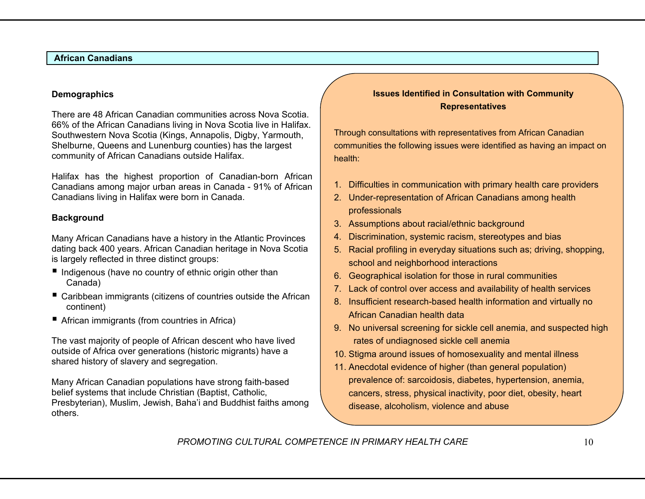#### **African Canadians**

#### **Demographics**

There are 48 African Canadian communities across Nova Scotia. 66% of the African Canadians living in Nova Scotia live in Halifax. Southwestern Nova Scotia (Kings, Annapolis, Digby, Yarmouth, Shelburne, Queens and Lunenburg counties) has the largest community of African Canadians outside Halifax.

Halifax has the highest proportion of Canadian-born African Canadians among major urban areas in Canada - 91% of African Canadians living in Halifax were born in Canada.

#### **Background**

Many African Canadians have a history in the Atlantic Provinces dating back 400 years. African Canadian heritage in Nova Scotia is largely reflected in three distinct groups:

- $\blacksquare$  Indigenous (have no country of ethnic origin other than Canada)
- Caribbean immigrants (citizens of countries outside the African continent)
- African immigrants (from countries in Africa)

The vast majority of people of African descent who have lived outside of Africa over generations (historic migrants) have a shared history of slavery and segregation.

Many African Canadian populations have strong faith-based belief systems that include Christian (Baptist, Catholic, Presbyterian), Muslim, Jewish, Baha'i and Buddhist faiths among others.

#### **Issues Identified in Consultation with Community Representatives**

Through consultations with representatives from African Canadian communities the following issues were identified as having an impact on health:

- 1. Difficulties in communication with primary health care providers
- 2. Under-representation of African Canadians among health professionals
- 3. Assumptions about racial/ethnic background
- 4. Discrimination, systemic racism, stereotypes and bias
- 5. Racial profiling in everyday situations such as; driving, shopping, school and neighborhood interactions
- 6. Geographical isolation for those in rural communities
- 7. Lack of control over access and availability of health services
- 8. Insufficient research-based health information and virtually no African Canadian health data
- 9. No universal screening for sickle cell anemia, and suspected high rates of undiagnosed sickle cell anemia
- 10. Stigma around issues of homosexuality and mental illness
- 11. Anecdotal evidence of higher (than general population) prevalence of: sarcoidosis, diabetes, hypertension, anemia, cancers, stress, physical inactivity, poor diet, obesity, heart disease, alcoholism, violence and abuse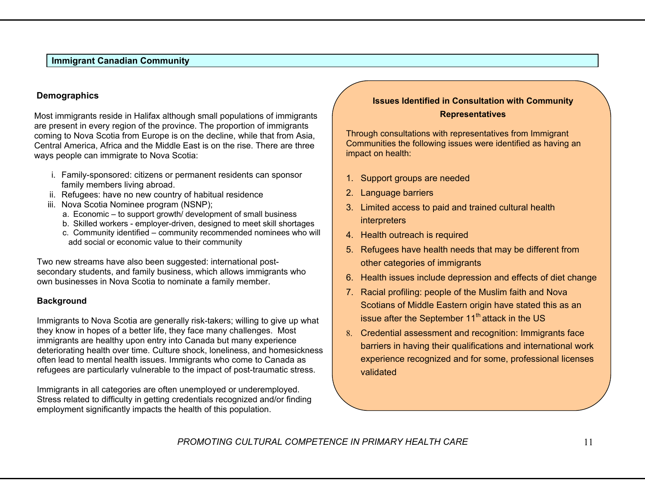#### **Immigrant Canadian Community**

#### **Demographics**

Most immigrants reside in Halifax although small populations of immigrants are present in every region of the province. The proportion of immigrants coming to Nova Scotia from Europe is on the decline, while that from Asia, Central America, Africa and the Middle East is on the rise. There are three ways people can immigrate to Nova Scotia:

- i. Family-sponsored: citizens or permanent residents can sponsor family members living abroad.
- ii. Refugees: have no new country of habitual residence
- iii. Nova Scotia Nominee program (NSNP);
	- a. Economic to support growth/ development of small business
	- b. Skilled workers employer-driven, designed to meet skill shortages
	- c. Community identified community recommended nominees who will add social or economic value to their community

Two new streams have also been suggested: international postsecondary students, and family business, which allows immigrants who own businesses in Nova Scotia to nominate a family member.

#### **Background**

Immigrants to Nova Scotia are generally risk-takers; willing to give up what they know in hopes of a better life, they face many challenges. Most immigrants are healthy upon entry into Canada but many experience deteriorating health over time. Culture shock, loneliness, and homesickness often lead to mental health issues. Immigrants who come to Canada as refugees are particularly vulnerable to the impact of post-traumatic stress.

Immigrants in all categories are often unemployed or underemployed. Stress related to difficulty in getting credentials recognized and/or finding employment significantly impacts the health of this population.

#### **Issues Identified in Consultation with Community Representatives**

Through consultations with representatives from Immigrant Communities the following issues were identified as having an impact on health:

- 1. Support groups are needed
- 2. Language barriers
- 3. Limited access to paid and trained cultural health interpreters
- 4. Health outreach is required
- 5. Refugees have health needs that may be different from other categories of immigrants
- 6. Health issues include depression and effects of diet change
- 7. Racial profiling: people of the Muslim faith and Nova Scotians of Middle Eastern origin have stated this as an issue after the September  $11<sup>th</sup>$  attack in the US
- 8. Credential assessment and recognition: Immigrants face barriers in having their qualifications and international work experience recognized and for some, professional licenses validated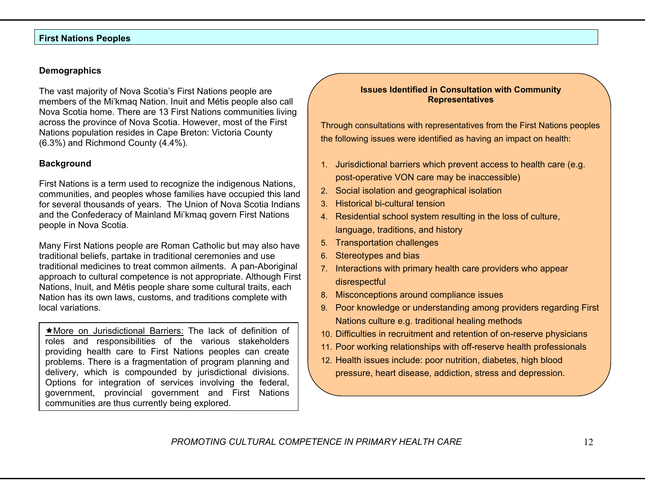#### **First Nations Peoples**

#### **Demographics**

The vast majority of Nova Scotia's First Nations people are members of the Mi'kmaq Nation. Inuit and Métis people also call Nova Scotia home. There are 13 First Nations communities living across the province of Nova Scotia. However, most of the First Nations population resides in Cape Breton: Victoria County (6.3%) and Richmond County (4.4%).

#### **Background**

First Nations is a term used to recognize the indigenous Nations, communities, and peoples whose families have occupied this land for several thousands of years. The Union of Nova Scotia Indians and the Confederacy of Mainland Mi'kmaq govern First Nations people in Nova Scotia.

Many First Nations people are Roman Catholic but may also have traditional beliefs, partake in traditional ceremonies and use traditional medicines to treat common ailments. A pan-Aboriginal approach to cultural competence is not appropriate. Although First Nations, Inuit, and Métis people share some cultural traits, each Nation has its own laws, customs, and traditions complete with local variations.

★More on Jurisdictional Barriers: The lack of definition of roles and responsibilities of the various stakeholders providing health care to First Nations peoples can create problems. There is a fragmentation of program planning and delivery, which is compounded by jurisdictional divisions. Options for integration of services involving the federal, government, provincial government and First Nations communities are thus currently being explored.

#### **Issues Identified in Consultation with Community Representatives**

Through consultations with representatives from the First Nations peoples the following issues were identified as having an impact on health:

- 1. Jurisdictional barriers which prevent access to health care (e.g. post-operative VON care may be inaccessible)
- 2. Social isolation and geographical isolation
- 3. Historical bi-cultural tension
- 4. Residential school system resulting in the loss of culture, language, traditions, and history
- 5. Transportation challenges
- 6. Stereotypes and bias
- 7. Interactions with primary health care providers who appear disrespectful
- 8. Misconceptions around compliance issues
- 9. Poor knowledge or understanding among providers regarding First Nations culture e.g. traditional healing methods
- 10. Difficulties in recruitment and retention of on-reserve physicians
- 11. Poor working relationships with off-reserve health professionals
- 12. Health issues include: poor nutrition, diabetes, high blood pressure, heart disease, addiction, stress and depression.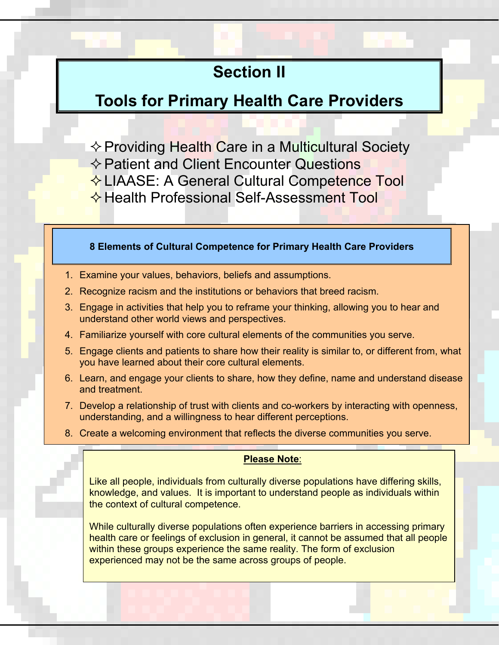# **Section II**

# **Tools for Primary Health Care Providers**

 $\Diamond$  Providing Health Care in a Multicultural Society  $\Leftrightarrow$  Patient and Client Encounter Questions  $\div$  **LIAASE: A General Cultural Competence Tool**  $\bigotimes$  **Health Professional Self-Assessment Tool** 

#### **8 Elements of Cultural Competence for Primary Health Care Providers**

- 1. Examine your values, behaviors, beliefs and assumptions.
- 2. Recognize racism and the institutions or behaviors that breed racism.
- 3. Engage in activities that help you to reframe your thinking, allowing you to hear and understand other world views and perspectives.
- 4. Familiarize yourself with core cultural elements of the communities you serve.
- 5. Engage clients and patients to share how their reality is similar to, or different from, what you have learned about their core cultural elements.
- 6. Learn, and engage your clients to share, how they define, name and understand disease and treatment.
- 7. Develop a relationship of trust with clients and co-workers by interacting with openness, understanding, and a willingness to hear different perceptions.
- 8. Create a welcoming environment that reflects the diverse communities you serve.

#### **Please Note**:

Like all people, individuals from culturally diverse populations have differing skills, knowledge, and values. It is important to understand people as individuals within the context of cultural competence.

While culturally diverse populations often experience barriers in accessing primary health care or feelings of exclusion in general, it cannot be assumed that all people within these groups experience the same reality. The form of exclusion experienced may not be the same across groups of people.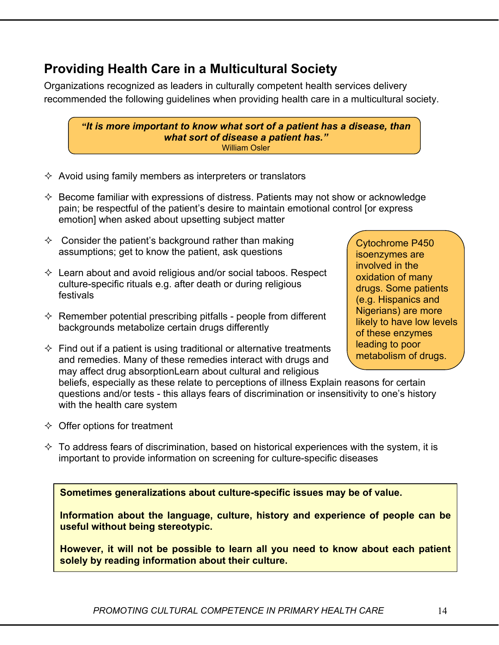# **Providing Health Care in a Multicultural Society**

Organizations recognized as leaders in culturally competent health services delivery recommended the following guidelines when providing health care in a multicultural society.

*"It is more important to know what sort of a patient has a disease, than what sort of disease a patient has."*<br>William Osler

- $\Diamond$  Avoid using family members as interpreters or translators
- $\Diamond$  Become familiar with expressions of distress. Patients may not show or acknowledge pain; be respectful of the patient's desire to maintain emotional control [or express emotion] when asked about upsetting subject matter
- $\Diamond$  Consider the patient's background rather than making assumptions; get to know the patient, ask questions
- $\Diamond$  Learn about and avoid religious and/or social taboos. Respect culture-specific rituals e.g. after death or during religious festivals
- $\Diamond$  Remember potential prescribing pitfalls people from different backgrounds metabolize certain drugs differently
- $\Diamond$  Find out if a patient is using traditional or alternative treatments and remedies. Many of these remedies interact with drugs and may affect drug absorptionLearn about cultural and religious

beliefs, especially as these relate to perceptions of illness Explain reasons for certain questions and/or tests - this allays fears of discrimination or insensitivity to one's history with the health care system

- $\Diamond$  Offer options for treatment
- $\Diamond$  To address fears of discrimination, based on historical experiences with the system, it is important to provide information on screening for culture-specific diseases

**Sometimes generalizations about culture-specific issues may be of value.** 

**Information about the language, culture, history and experience of people can be useful without being stereotypic.** 

**However, it will not be possible to learn all you need to know about each patient solely by reading information about their culture.**

Cytochrome P450 isoenzymes are involved in the oxidation of many drugs. Some patients (e.g. Hispanics and Nigerians) are more likely to have low levels of these enzymes leading to poor metabolism of drugs.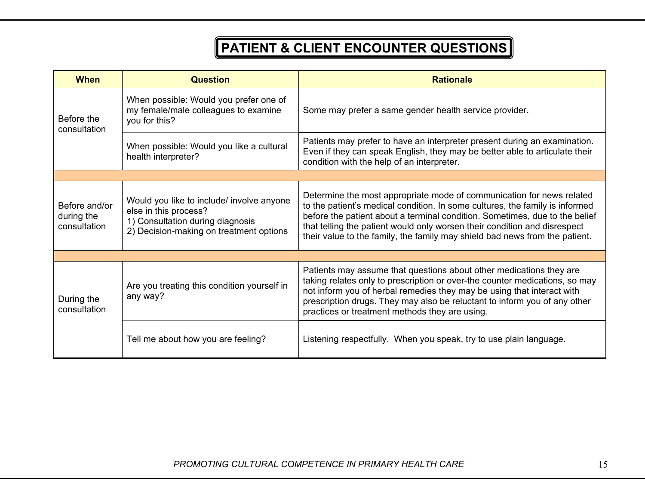# **PATIENT & CLIENT ENCOUNTER QUESTIONS**

| <b>When</b>                                 | <b>Question</b>                                                                                                                                   | <b>Rationale</b>                                                                                                                                                                                                                                                                                                                                                                                 |  |  |  |
|---------------------------------------------|---------------------------------------------------------------------------------------------------------------------------------------------------|--------------------------------------------------------------------------------------------------------------------------------------------------------------------------------------------------------------------------------------------------------------------------------------------------------------------------------------------------------------------------------------------------|--|--|--|
| Before the<br>consultation                  | When possible: Would you prefer one of<br>my female/male colleagues to examine<br>you for this?                                                   | Some may prefer a same gender health service provider.                                                                                                                                                                                                                                                                                                                                           |  |  |  |
|                                             | When possible: Would you like a cultural<br>health interpreter?                                                                                   | Patients may prefer to have an interpreter present during an examination.<br>Even if they can speak English, they may be better able to articulate their<br>condition with the help of an interpreter.                                                                                                                                                                                           |  |  |  |
|                                             |                                                                                                                                                   |                                                                                                                                                                                                                                                                                                                                                                                                  |  |  |  |
| Before and/or<br>during the<br>consultation | Would you like to include/ involve anyone<br>else in this process?<br>1) Consultation during diagnosis<br>2) Decision-making on treatment options | Determine the most appropriate mode of communication for news related<br>to the patient's medical condition. In some cultures, the family is informed<br>before the patient about a terminal condition. Sometimes, due to the belief<br>that telling the patient would only worsen their condition and disrespect<br>their value to the family, the family may shield bad news from the patient. |  |  |  |
|                                             |                                                                                                                                                   |                                                                                                                                                                                                                                                                                                                                                                                                  |  |  |  |
| During the<br>consultation                  | Are you treating this condition yourself in<br>any way?                                                                                           | Patients may assume that questions about other medications they are<br>taking relates only to prescription or over-the counter medications, so may<br>not inform you of herbal remedies they may be using that interact with<br>prescription drugs. They may also be reluctant to inform you of any other<br>practices or treatment methods they are using.                                      |  |  |  |
|                                             | Tell me about how you are feeling?                                                                                                                | Listening respectfully. When you speak, try to use plain language.                                                                                                                                                                                                                                                                                                                               |  |  |  |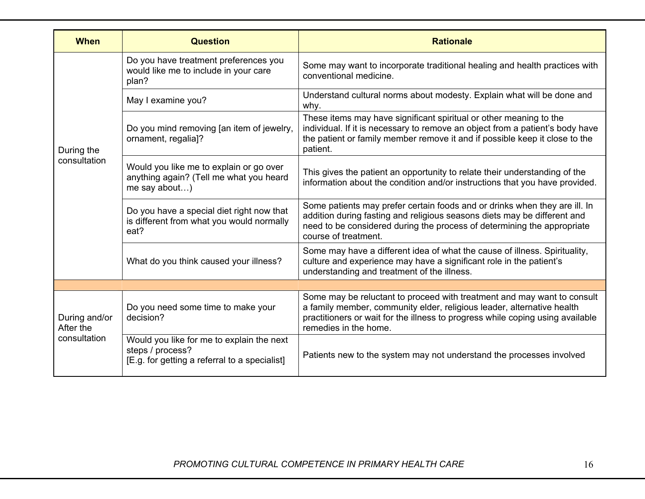| <b>When</b>                | <b>Question</b>                                                                                                | <b>Rationale</b>                                                                                                                                                                                                                                             |  |  |  |
|----------------------------|----------------------------------------------------------------------------------------------------------------|--------------------------------------------------------------------------------------------------------------------------------------------------------------------------------------------------------------------------------------------------------------|--|--|--|
|                            | Do you have treatment preferences you<br>would like me to include in your care<br>plan?                        | Some may want to incorporate traditional healing and health practices with<br>conventional medicine.                                                                                                                                                         |  |  |  |
|                            | May I examine you?                                                                                             | Understand cultural norms about modesty. Explain what will be done and<br>why.                                                                                                                                                                               |  |  |  |
| During the                 | Do you mind removing [an item of jewelry,<br>ornament, regalia]?                                               | These items may have significant spiritual or other meaning to the<br>individual. If it is necessary to remove an object from a patient's body have<br>the patient or family member remove it and if possible keep it close to the<br>patient.               |  |  |  |
| consultation               | Would you like me to explain or go over<br>anything again? (Tell me what you heard<br>me say about)            | This gives the patient an opportunity to relate their understanding of the<br>information about the condition and/or instructions that you have provided.                                                                                                    |  |  |  |
|                            | Do you have a special diet right now that<br>is different from what you would normally<br>eat?                 | Some patients may prefer certain foods and or drinks when they are ill. In<br>addition during fasting and religious seasons diets may be different and<br>need to be considered during the process of determining the appropriate<br>course of treatment.    |  |  |  |
|                            | What do you think caused your illness?                                                                         | Some may have a different idea of what the cause of illness. Spirituality,<br>culture and experience may have a significant role in the patient's<br>understanding and treatment of the illness.                                                             |  |  |  |
|                            |                                                                                                                |                                                                                                                                                                                                                                                              |  |  |  |
| During and/or<br>After the | Do you need some time to make your<br>decision?                                                                | Some may be reluctant to proceed with treatment and may want to consult<br>a family member, community elder, religious leader, alternative health<br>practitioners or wait for the illness to progress while coping using available<br>remedies in the home. |  |  |  |
| consultation               | Would you like for me to explain the next<br>steps / process?<br>[E.g. for getting a referral to a specialist] | Patients new to the system may not understand the processes involved                                                                                                                                                                                         |  |  |  |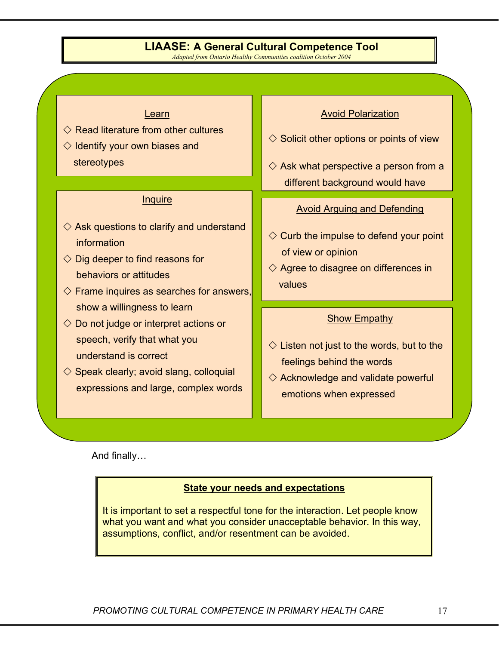### **LIAASE: A General Cultural Competence Tool**

*Adapted from Ontario Healthy Communities coalition October 2004*

#### Learn

- $\diamondsuit$  Read literature from other cultures
- $\Diamond$  Identify your own biases and stereotypes

#### **Inquire**

- $\diamondsuit$  Ask questions to clarify and understand information
- $\Diamond$  Dig deeper to find reasons for behaviors or attitudes
- $\diamondsuit$  Frame inquires as searches for answers, show a willingness to learn
- $\Diamond$  Do not judge or interpret actions or speech, verify that what you understand is correct
- $\diamond$  Speak clearly; avoid slang, colloquial expressions and large, complex words

#### **Avoid Polarization**

- $\Diamond$  Solicit other options or points of view
- $\diamondsuit$  Ask what perspective a person from a different background would have

#### Avoid Arguing and Defending

- $\Diamond$  Curb the impulse to defend your point of view or opinion
- $\diamondsuit$  Agree to disagree on differences in values

#### **Show Empathy**

- $\Diamond$  Listen not just to the words, but to the feelings behind the words
- $\diamondsuit$  Acknowledge and validate powerful emotions when expressed

And finally…

#### **State your needs and expectations**

It is important to set a respectful tone for the interaction. Let people know what you want and what you consider unacceptable behavior. In this way, assumptions, conflict, and/or resentment can be avoided.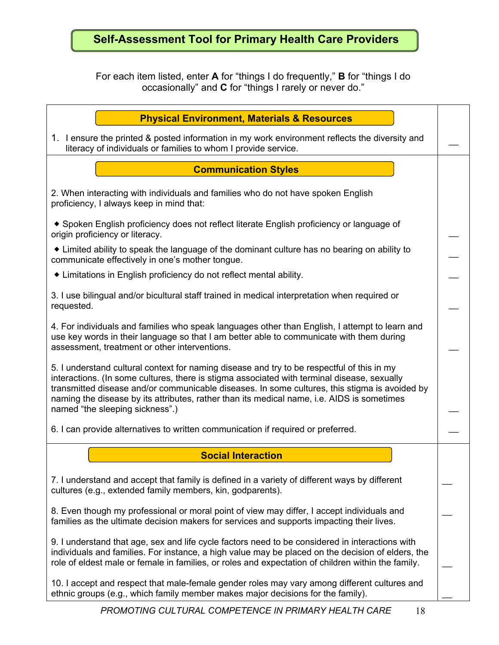# **Self-Assessment Tool for Primary Health Care Providers**

For each item listed, enter **A** for "things I do frequently," **B** for "things I do occasionally" and **C** for "things I rarely or never do."

| <b>Physical Environment, Materials &amp; Resources</b>                                                                                                                                                                                                                                                                                                                                                                      |  |
|-----------------------------------------------------------------------------------------------------------------------------------------------------------------------------------------------------------------------------------------------------------------------------------------------------------------------------------------------------------------------------------------------------------------------------|--|
| 1. I ensure the printed & posted information in my work environment reflects the diversity and<br>literacy of individuals or families to whom I provide service.                                                                                                                                                                                                                                                            |  |
| <b>Communication Styles</b>                                                                                                                                                                                                                                                                                                                                                                                                 |  |
| 2. When interacting with individuals and families who do not have spoken English<br>proficiency, I always keep in mind that:                                                                                                                                                                                                                                                                                                |  |
| • Spoken English proficiency does not reflect literate English proficiency or language of<br>origin proficiency or literacy.                                                                                                                                                                                                                                                                                                |  |
| • Limited ability to speak the language of the dominant culture has no bearing on ability to<br>communicate effectively in one's mother tongue.                                                                                                                                                                                                                                                                             |  |
| • Limitations in English proficiency do not reflect mental ability.                                                                                                                                                                                                                                                                                                                                                         |  |
| 3. I use bilingual and/or bicultural staff trained in medical interpretation when required or<br>requested.                                                                                                                                                                                                                                                                                                                 |  |
| 4. For individuals and families who speak languages other than English, I attempt to learn and<br>use key words in their language so that I am better able to communicate with them during<br>assessment, treatment or other interventions.                                                                                                                                                                                 |  |
| 5. I understand cultural context for naming disease and try to be respectful of this in my<br>interactions. (In some cultures, there is stigma associated with terminal disease, sexually<br>transmitted disease and/or communicable diseases. In some cultures, this stigma is avoided by<br>naming the disease by its attributes, rather than its medical name, i.e. AIDS is sometimes<br>named "the sleeping sickness".) |  |
| 6. I can provide alternatives to written communication if required or preferred.                                                                                                                                                                                                                                                                                                                                            |  |
| <b>Social Interaction</b>                                                                                                                                                                                                                                                                                                                                                                                                   |  |
| 7. I understand and accept that family is defined in a variety of different ways by different<br>cultures (e.g., extended family members, kin, godparents).                                                                                                                                                                                                                                                                 |  |
| 8. Even though my professional or moral point of view may differ, I accept individuals and<br>families as the ultimate decision makers for services and supports impacting their lives.                                                                                                                                                                                                                                     |  |
| 9. I understand that age, sex and life cycle factors need to be considered in interactions with<br>individuals and families. For instance, a high value may be placed on the decision of elders, the<br>role of eldest male or female in families, or roles and expectation of children within the family.                                                                                                                  |  |
| 10. I accept and respect that male-female gender roles may vary among different cultures and<br>ethnic groups (e.g., which family member makes major decisions for the family).                                                                                                                                                                                                                                             |  |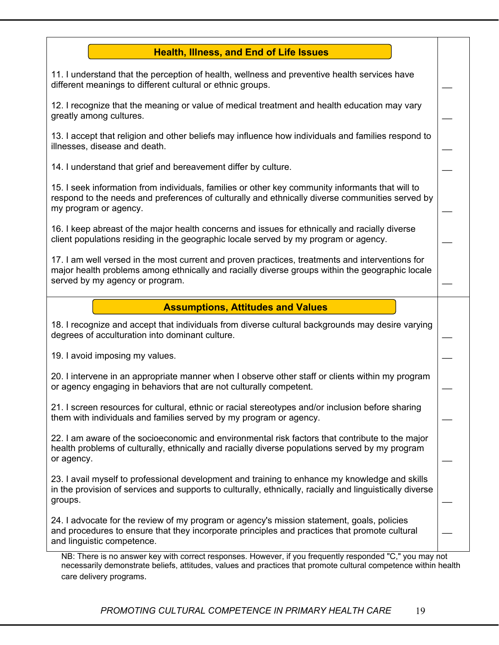#### **Health, Illness, and End of Life Issues**

 $\overline{\phantom{a}}$ 

 $\overline{\phantom{a}}$ 

 $\overline{\phantom{a}}$ 

 $\overline{\phantom{a}}$ 

 $\overline{\phantom{a}}$ 

 $\overline{\phantom{a}}$ 

 $\overline{\phantom{a}}$ 

 $\overline{\phantom{a}}$ 

 $\overline{\phantom{a}}$ 

 $\overline{\phantom{a}}$ 

 $\overline{\phantom{a}}$ 

 $\overline{\phantom{a}}$ 

 $\overline{\phantom{a}}$ 

 $\overline{\phantom{a}}$ 

11. I understand that the perception of health, wellness and preventive health services have different meanings to different cultural or ethnic groups.

12. I recognize that the meaning or value of medical treatment and health education may vary greatly among cultures.

13. I accept that religion and other beliefs may influence how individuals and families respond to illnesses, disease and death.

14. I understand that grief and bereavement differ by culture.

15. I seek information from individuals, families or other key community informants that will to respond to the needs and preferences of culturally and ethnically diverse communities served by my program or agency.

16. I keep abreast of the major health concerns and issues for ethnically and racially diverse client populations residing in the geographic locale served by my program or agency.

17. I am well versed in the most current and proven practices, treatments and interventions for major health problems among ethnically and racially diverse groups within the geographic locale served by my agency or program.

#### **Assumptions, Attitudes and Values**

18. I recognize and accept that individuals from diverse cultural backgrounds may desire varying degrees of acculturation into dominant culture.

19. I avoid imposing my values.

20. I intervene in an appropriate manner when I observe other staff or clients within my program or agency engaging in behaviors that are not culturally competent.

21. I screen resources for cultural, ethnic or racial stereotypes and/or inclusion before sharing them with individuals and families served by my program or agency.

22. I am aware of the socioeconomic and environmental risk factors that contribute to the major health problems of culturally, ethnically and racially diverse populations served by my program or agency.

23. I avail myself to professional development and training to enhance my knowledge and skills in the provision of services and supports to culturally, ethnically, racially and linguistically diverse groups.

24. I advocate for the review of my program or agency's mission statement, goals, policies and procedures to ensure that they incorporate principles and practices that promote cultural and linguistic competence.

NB: There is no answer key with correct responses. However, if you frequently responded "C," you may not necessarily demonstrate beliefs, attitudes, values and practices that promote cultural competence within health care delivery programs.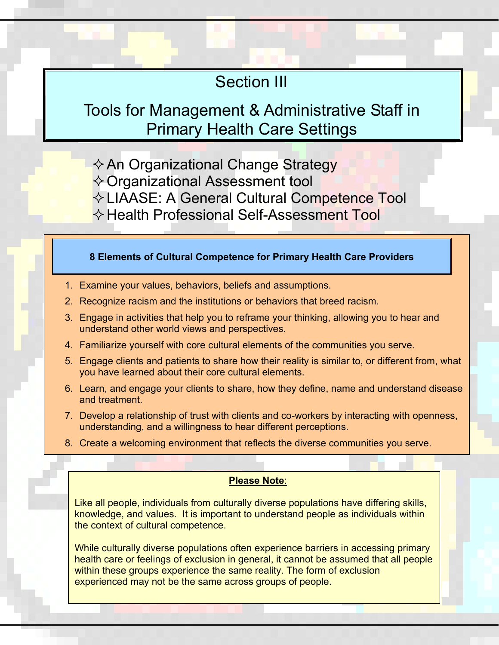# Section III

# Tools for Management & Administrative Staff in Primary Health Care Settings

 $\Diamond$  An Organizational Change Strategy **↑ Organizational Assessment tool**  LIAASE: A General Cultural Competence Tool **★ Health Professional Self-Assessment Tool** 

#### **8 Elements of Cultural Competence for Primary Health Care Providers**

- 1. Examine your values, behaviors, beliefs and assumptions.
- 2. Recognize racism and the institutions or behaviors that breed racism.
- 3. Engage in activities that help you to reframe your thinking, allowing you to hear and understand other world views and perspectives.
- 4. Familiarize yourself with core cultural elements of the communities you serve.
- 5. Engage clients and patients to share how their reality is similar to, or different from, what you have learned about their core cultural elements.
- 6. Learn, and engage your clients to share, how they define, name and understand disease and treatment.
- 7. Develop a relationship of trust with clients and co-workers by interacting with openness, understanding, and a willingness to hear different perceptions.
- 8. Create a welcoming environment that reflects the diverse communities you serve.

#### **Please Note**:

Like all people, individuals from culturally diverse populations have differing skills, knowledge, and values. It is important to understand people as individuals within the context of cultural competence.

While culturally diverse populations often experience barriers in accessing primary health care or feelings of exclusion in general, it cannot be assumed that all people within these groups experience the same reality. The form of exclusion experienced may not be the same across groups of people.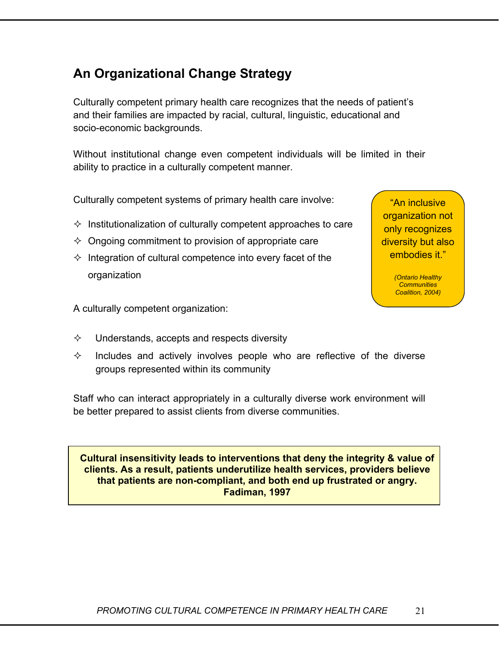# **An Organizational Change Strategy**

Culturally competent primary health care recognizes that the needs of patient's and their families are impacted by racial, cultural, linguistic, educational and socio-economic backgrounds.

Without institutional change even competent individuals will be limited in their ability to practice in a culturally competent manner.

Culturally competent systems of primary health care involve:

- $\Diamond$  Institutionalization of culturally competent approaches to care
- $\Diamond$  Ongoing commitment to provision of appropriate care
- $\Diamond$  Integration of cultural competence into every facet of the organization

A culturally competent organization:

- $\Diamond$  Understands, accepts and respects diversity
- $\diamond$  Includes and actively involves people who are reflective of the diverse groups represented within its community

Staff who can interact appropriately in a culturally diverse work environment will be better prepared to assist clients from diverse communities.

#### **Cultural insensitivity leads to interventions that deny the integrity & value of clients. As a result, patients underutilize health services, providers believe that patients are non-compliant, and both end up frustrated or angry. Fadiman, 1997**

organization not only recognizes diversity but also embodies it."

"An inclusive

*(Ontario Healthy Communities Coalition, 2004)*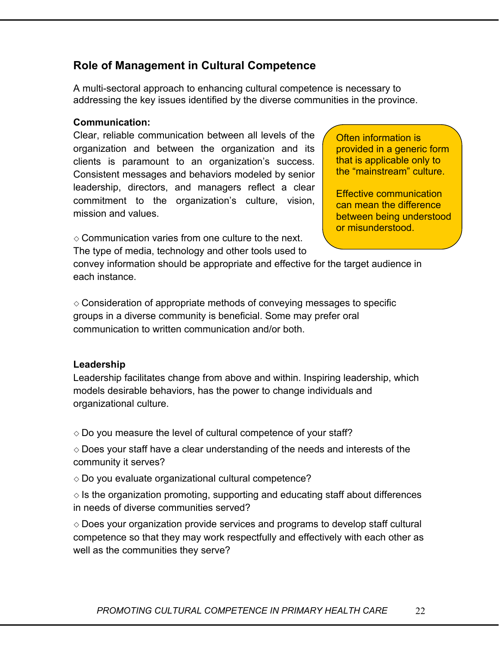## **Role of Management in Cultural Competence**

A multi-sectoral approach to enhancing cultural competence is necessary to addressing the key issues identified by the diverse communities in the province.

#### **Communication:**

Clear, reliable communication between all levels of the organization and between the organization and its clients is paramount to an organization's success. Consistent messages and behaviors modeled by senior leadership, directors, and managers reflect a clear commitment to the organization's culture, vision, mission and values.

 $\Diamond$  Communication varies from one culture to the next. The type of media, technology and other tools used to

Often information is provided in a generic form that is applicable only to the "mainstream" culture.

Effective communication can mean the difference between being understood or misunderstood.

convey information should be appropriate and effective for the target audience in each instance.

 $\diamond$  Consideration of appropriate methods of conveying messages to specific groups in a diverse community is beneficial. Some may prefer oral communication to written communication and/or both.

#### **Leadership**

Leadership facilitates change from above and within. Inspiring leadership, which models desirable behaviors, has the power to change individuals and organizational culture.

 $\Diamond$  Do you measure the level of cultural competence of your staff?

 $\Diamond$  Does your staff have a clear understanding of the needs and interests of the community it serves?

 $\diamond$  Do you evaluate organizational cultural competence?

 $\Diamond$  is the organization promoting, supporting and educating staff about differences in needs of diverse communities served?

 $\Diamond$  Does your organization provide services and programs to develop staff cultural competence so that they may work respectfully and effectively with each other as well as the communities they serve?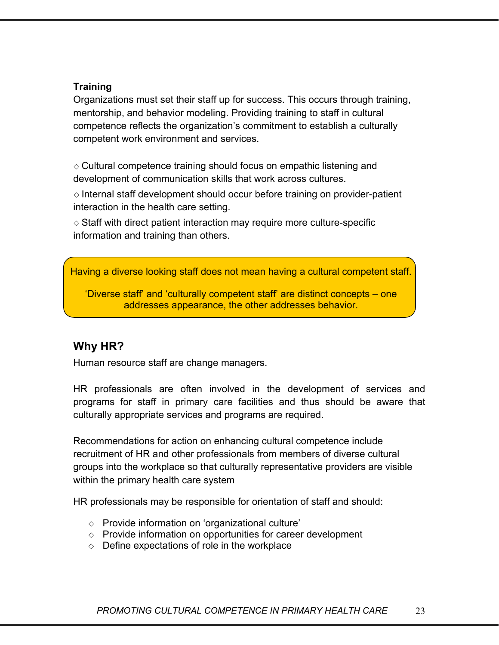#### **Training**

Organizations must set their staff up for success. This occurs through training, mentorship, and behavior modeling. Providing training to staff in cultural competence reflects the organization's commitment to establish a culturally competent work environment and services.

 $\diamond$  Cultural competence training should focus on empathic listening and development of communication skills that work across cultures.

 $\diamond$  Internal staff development should occur before training on provider-patient interaction in the health care setting.

 $\diamond$  Staff with direct patient interaction may require more culture-specific information and training than others.

Having a diverse looking staff does not mean having a cultural competent staff.

'Diverse staff' and 'culturally competent staff' are distinct concepts – one addresses appearance, the other addresses behavior.

### **Why HR?**

Human resource staff are change managers.

HR professionals are often involved in the development of services and programs for staff in primary care facilities and thus should be aware that culturally appropriate services and programs are required.

Recommendations for action on enhancing cultural competence include recruitment of HR and other professionals from members of diverse cultural groups into the workplace so that culturally representative providers are visible within the primary health care system

HR professionals may be responsible for orientation of staff and should:

- $\Diamond$  Provide information on 'organizational culture'
- $\Diamond$  Provide information on opportunities for career development
- $\Diamond$  Define expectations of role in the workplace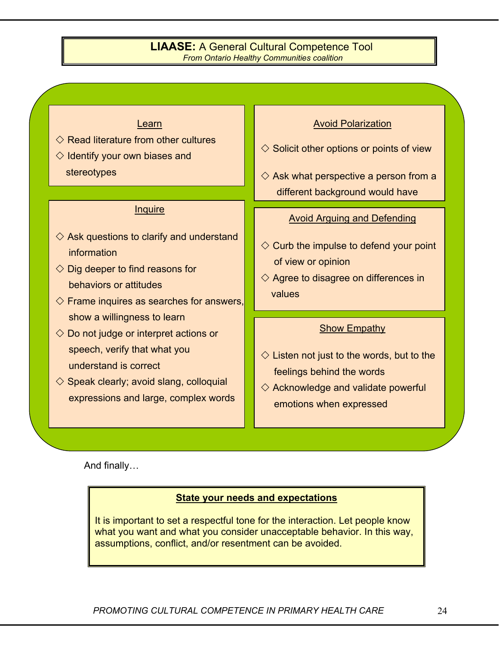#### **LIAASE:** A General Cultural Competence Tool *From Ontario Healthy Communities coalition*

#### Learn

- $\Diamond$  Read literature from other cultures
- $\Diamond$  Identify your own biases and stereotypes

#### **Inquire**

- $\diamondsuit$  Ask questions to clarify and understand information
- $\Diamond$  Dig deeper to find reasons for behaviors or attitudes
- $\Diamond$  Frame inquires as searches for answers, show a willingness to learn
- $\Diamond$  Do not judge or interpret actions or speech, verify that what you understand is correct
- $\Diamond$  Speak clearly; avoid slang, colloquial expressions and large, complex words

#### Avoid Polarization

- $\diamondsuit$  Solicit other options or points of view
- $\diamondsuit$  Ask what perspective a person from a different background would have

#### Avoid Arguing and Defending

- $\diamondsuit$  Curb the impulse to defend your point of view or opinion
- $\diamondsuit$  Agree to disagree on differences in values

#### **Show Empathy**

- $\diamondsuit$  Listen not just to the words, but to the feelings behind the words
- $\diamondsuit$  Acknowledge and validate powerful emotions when expressed

And finally…

#### **State your needs and expectations**

It is important to set a respectful tone for the interaction. Let people know what you want and what you consider unacceptable behavior. In this way, assumptions, conflict, and/or resentment can be avoided.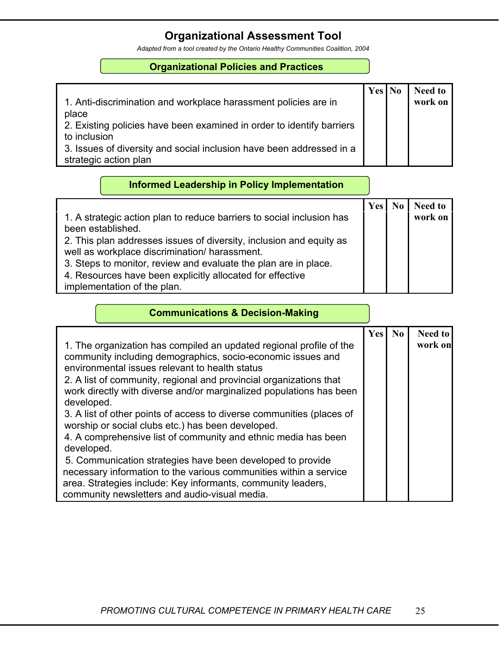### **Organizational Assessment Tool**

*Adapted from a tool created by the Ontario Healthy Communities Coalition, 2004* 

#### **Organizational Policies and Practices**

|                                                                       | Yes | <b>No</b> | <b>Need to</b> |
|-----------------------------------------------------------------------|-----|-----------|----------------|
| 1. Anti-discrimination and workplace harassment policies are in       |     |           | work on        |
| place                                                                 |     |           |                |
| 2. Existing policies have been examined in order to identify barriers |     |           |                |
| to inclusion                                                          |     |           |                |
| 3. Issues of diversity and social inclusion have been addressed in a  |     |           |                |
| strategic action plan                                                 |     |           |                |

#### **Informed Leadership in Policy Implementation**

|                                                                       | Yes | <b>Need to</b> |
|-----------------------------------------------------------------------|-----|----------------|
| 1. A strategic action plan to reduce barriers to social inclusion has |     | work on        |
| been established.                                                     |     |                |
| 2. This plan addresses issues of diversity, inclusion and equity as   |     |                |
| well as workplace discrimination/ harassment.                         |     |                |
| 3. Steps to monitor, review and evaluate the plan are in place.       |     |                |
| 4. Resources have been explicitly allocated for effective             |     |                |
| implementation of the plan.                                           |     |                |

#### **Communications & Decision-Making**

| 1. The organization has compiled an updated regional profile of the<br>community including demographics, socio-economic issues and<br>environmental issues relevant to health status<br>2. A list of community, regional and provincial organizations that<br>work directly with diverse and/or marginalized populations has been<br>developed.<br>3. A list of other points of access to diverse communities (places of<br>worship or social clubs etc.) has been developed.<br>4. A comprehensive list of community and ethnic media has been | <b>Yes</b> | $\bf No$ | <b>Need to</b><br>work on |
|-------------------------------------------------------------------------------------------------------------------------------------------------------------------------------------------------------------------------------------------------------------------------------------------------------------------------------------------------------------------------------------------------------------------------------------------------------------------------------------------------------------------------------------------------|------------|----------|---------------------------|
| developed.<br>5. Communication strategies have been developed to provide<br>necessary information to the various communities within a service                                                                                                                                                                                                                                                                                                                                                                                                   |            |          |                           |
| area. Strategies include: Key informants, community leaders,<br>community newsletters and audio-visual media.                                                                                                                                                                                                                                                                                                                                                                                                                                   |            |          |                           |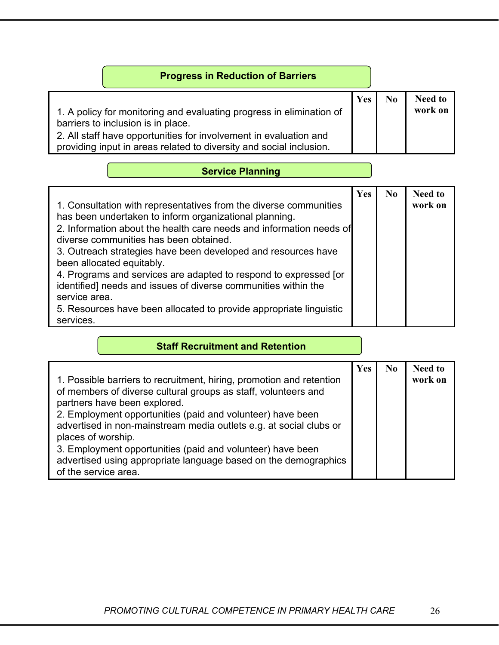| <b>Progress in Reduction of Barriers</b>                                                                                                                                                                                                               |     |                |                           |
|--------------------------------------------------------------------------------------------------------------------------------------------------------------------------------------------------------------------------------------------------------|-----|----------------|---------------------------|
| 1. A policy for monitoring and evaluating progress in elimination of<br>barriers to inclusion is in place.<br>2. All staff have opportunities for involvement in evaluation and<br>providing input in areas related to diversity and social inclusion. | Yes | N <sub>0</sub> | <b>Need to</b><br>work on |

### **Service Planning**

### **Staff Recruitment and Retention**

| 1. Possible barriers to recruitment, hiring, promotion and retention<br>of members of diverse cultural groups as staff, volunteers and<br>partners have been explored.<br>2. Employment opportunities (paid and volunteer) have been<br>advertised in non-mainstream media outlets e.g. at social clubs or<br>places of worship.<br>3. Employment opportunities (paid and volunteer) have been<br>advertised using appropriate language based on the demographics<br>of the service area. | Yes | No | <b>Need to</b><br>work on |
|-------------------------------------------------------------------------------------------------------------------------------------------------------------------------------------------------------------------------------------------------------------------------------------------------------------------------------------------------------------------------------------------------------------------------------------------------------------------------------------------|-----|----|---------------------------|
|-------------------------------------------------------------------------------------------------------------------------------------------------------------------------------------------------------------------------------------------------------------------------------------------------------------------------------------------------------------------------------------------------------------------------------------------------------------------------------------------|-----|----|---------------------------|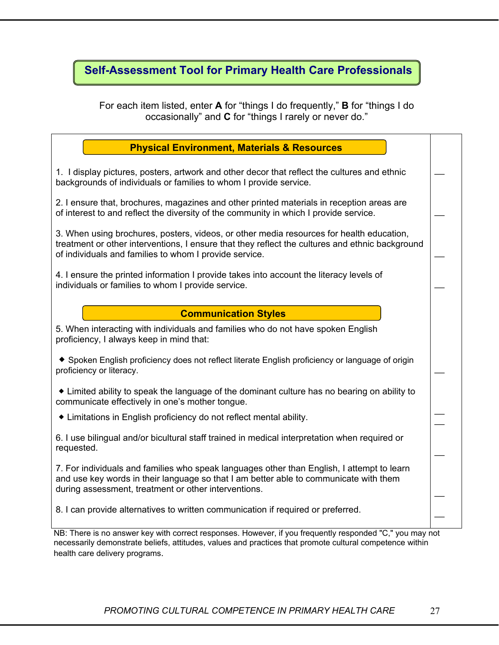### **Self-Assessment Tool for Primary Health Care Professionals**

For each item listed, enter **A** for "things I do frequently," **B** for "things I do occasionally" and **C** for "things I rarely or never do."

| <b>Physical Environment, Materials &amp; Resources</b>                                                                                                                                                                                                |  |
|-------------------------------------------------------------------------------------------------------------------------------------------------------------------------------------------------------------------------------------------------------|--|
| 1. I display pictures, posters, artwork and other decor that reflect the cultures and ethnic<br>backgrounds of individuals or families to whom I provide service.                                                                                     |  |
| 2. I ensure that, brochures, magazines and other printed materials in reception areas are<br>of interest to and reflect the diversity of the community in which I provide service.                                                                    |  |
| 3. When using brochures, posters, videos, or other media resources for health education,<br>treatment or other interventions, I ensure that they reflect the cultures and ethnic background<br>of individuals and families to whom I provide service. |  |
| 4. I ensure the printed information I provide takes into account the literacy levels of<br>individuals or families to whom I provide service.                                                                                                         |  |
| <b>Communication Styles</b>                                                                                                                                                                                                                           |  |
| 5. When interacting with individuals and families who do not have spoken English<br>proficiency, I always keep in mind that:                                                                                                                          |  |
| ◆ Spoken English proficiency does not reflect literate English proficiency or language of origin<br>proficiency or literacy.                                                                                                                          |  |
| • Limited ability to speak the language of the dominant culture has no bearing on ability to<br>communicate effectively in one's mother tongue.                                                                                                       |  |
| • Limitations in English proficiency do not reflect mental ability.                                                                                                                                                                                   |  |
| 6. I use bilingual and/or bicultural staff trained in medical interpretation when required or<br>requested.                                                                                                                                           |  |
| 7. For individuals and families who speak languages other than English, I attempt to learn<br>and use key words in their language so that I am better able to communicate with them<br>during assessment, treatment or other interventions.           |  |
| 8. I can provide alternatives to written communication if required or preferred.                                                                                                                                                                      |  |
| NR: There is no answer key with correct responses. However, if you frequently responded "C." you may not                                                                                                                                              |  |

/ with correct responses. However, if you frequently responded "C," you may not necessarily demonstrate beliefs, attitudes, values and practices that promote cultural competence within health care delivery programs.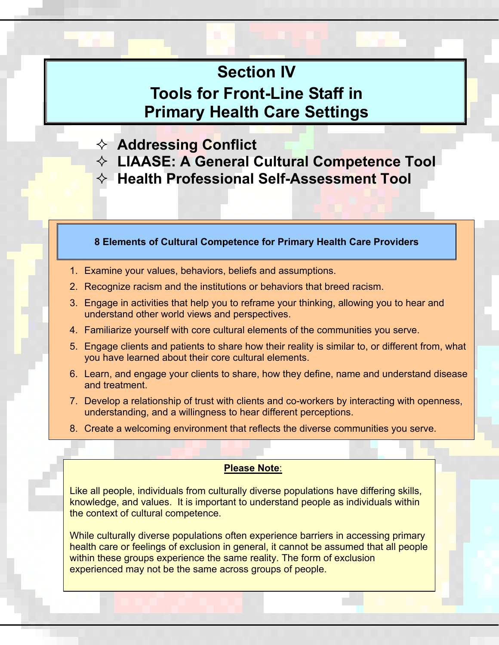# **Section IV**

# **Tools for Front-Line Staff in Primary Health Care Settings**

- **Addressing Conflict**
- **LIAASE: A General Cultural Competence Tool**
- **Health Professional Self-Assessment Tool**

#### **8 Elements of Cultural Competence for Primary Health Care Providers**

- 1. Examine your values, behaviors, beliefs and assumptions.
- 2. Recognize racism and the institutions or behaviors that breed racism.
- 3. Engage in activities that help you to reframe your thinking, allowing you to hear and understand other world views and perspectives.
- 4. Familiarize yourself with core cultural elements of the communities you serve.
- 5. Engage clients and patients to share how their reality is similar to, or different from, what you have learned about their core cultural elements.
- 6. Learn, and engage your clients to share, how they define, name and understand disease and treatment.
- 7. Develop a relationship of trust with clients and co-workers by interacting with openness, understanding, and a willingness to hear different perceptions.
- 8. Create a welcoming environment that reflects the diverse communities you serve.

#### **Please Note**:

Like all people, individuals from culturally diverse populations have differing skills, knowledge, and values. It is important to understand people as individuals within the context of cultural competence.

While culturally diverse populations often experience barriers in accessing primary health care or feelings of exclusion in general, it cannot be assumed that all people within these groups experience the same reality. The form of exclusion experienced may not be the same across groups of people.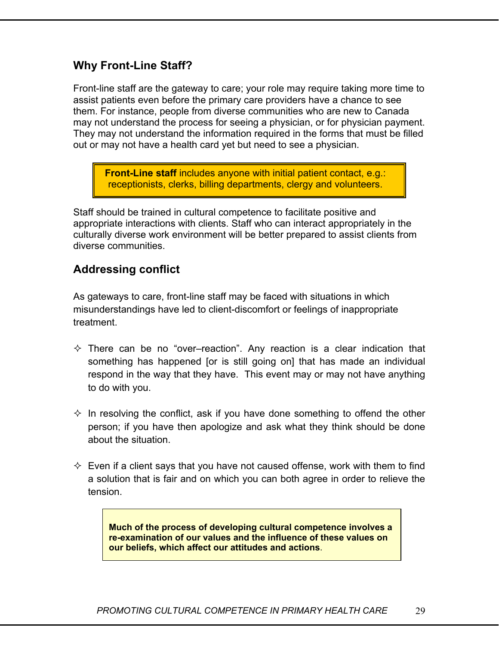### **Why Front-Line Staff?**

Front-line staff are the gateway to care; your role may require taking more time to assist patients even before the primary care providers have a chance to see them. For instance, people from diverse communities who are new to Canada may not understand the process for seeing a physician, or for physician payment. They may not understand the information required in the forms that must be filled out or may not have a health card yet but need to see a physician.

**Front-Line staff** includes anyone with initial patient contact, e.g.: receptionists, clerks, billing departments, clergy and volunteers.

Staff should be trained in cultural competence to facilitate positive and appropriate interactions with clients. Staff who can interact appropriately in the culturally diverse work environment will be better prepared to assist clients from diverse communities.

### **Addressing conflict**

As gateways to care, front-line staff may be faced with situations in which misunderstandings have led to client-discomfort or feelings of inappropriate treatment.

- $\Diamond$  There can be no "over-reaction". Any reaction is a clear indication that something has happened [or is still going on] that has made an individual respond in the way that they have. This event may or may not have anything to do with you.
- $\Diamond$  In resolving the conflict, ask if you have done something to offend the other person; if you have then apologize and ask what they think should be done about the situation.
- $\Diamond$  Even if a client says that you have not caused offense, work with them to find a solution that is fair and on which you can both agree in order to relieve the tension.

**Much of the process of developing cultural competence involves a re-examination of our values and the influence of these values on our beliefs, which affect our attitudes and actions**.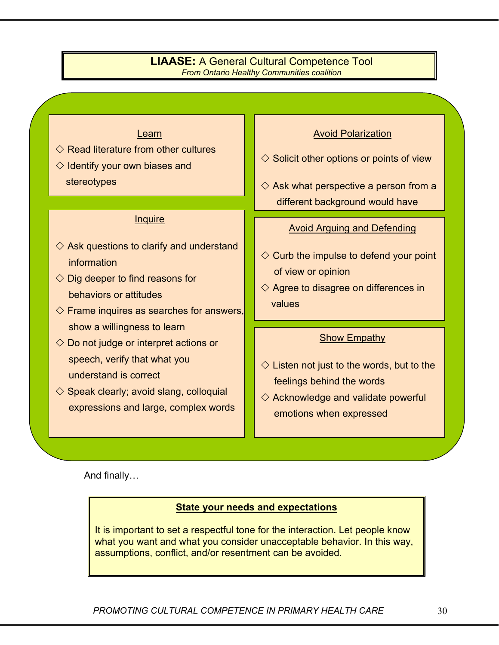#### **LIAASE:** A General Cultural Competence Tool *From Ontario Healthy Communities coalition*

#### Learn

#### $\Diamond$  Read literature from other cultures

 $\Diamond$  Identify your own biases and stereotypes

#### **Inquire**

- $\diamondsuit$  Ask questions to clarify and understand information
- $\Diamond$  Dig deeper to find reasons for behaviors or attitudes
- $\Diamond$  Frame inquires as searches for answers, show a willingness to learn
- $\Diamond$  Do not judge or interpret actions or speech, verify that what you understand is correct
- $\diamond$  Speak clearly; avoid slang, colloquial expressions and large, complex words

#### Avoid Polarization

- $\diamondsuit$  Solicit other options or points of view
- $\diamondsuit$  Ask what perspective a person from a different background would have

#### Avoid Arguing and Defending

- $\Diamond$  Curb the impulse to defend your point of view or opinion
- $\diamondsuit$  Agree to disagree on differences in values

#### Show Empathy

- $\diamondsuit$  Listen not just to the words, but to the feelings behind the words
- $\diamondsuit$  Acknowledge and validate powerful emotions when expressed

And finally…

#### **State your needs and expectations**

It is important to set a respectful tone for the interaction. Let people know what you want and what you consider unacceptable behavior. In this way, assumptions, conflict, and/or resentment can be avoided.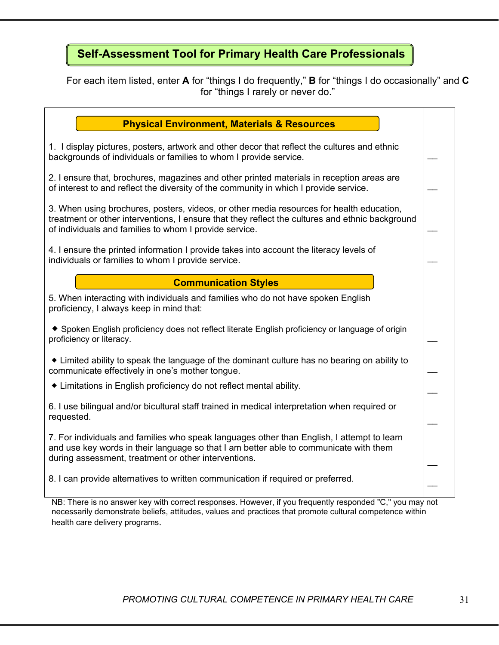# **Self-Assessment Tool for Primary Health Care Professionals**

For each item listed, enter **A** for "things I do frequently," **B** for "things I do occasionally" and **C**  for "things I rarely or never do."

| <b>Physical Environment, Materials &amp; Resources</b>                                                                                                                                                                                                |  |
|-------------------------------------------------------------------------------------------------------------------------------------------------------------------------------------------------------------------------------------------------------|--|
| 1. I display pictures, posters, artwork and other decor that reflect the cultures and ethnic<br>backgrounds of individuals or families to whom I provide service.                                                                                     |  |
| 2. I ensure that, brochures, magazines and other printed materials in reception areas are<br>of interest to and reflect the diversity of the community in which I provide service.                                                                    |  |
| 3. When using brochures, posters, videos, or other media resources for health education,<br>treatment or other interventions, I ensure that they reflect the cultures and ethnic background<br>of individuals and families to whom I provide service. |  |
| 4. I ensure the printed information I provide takes into account the literacy levels of<br>individuals or families to whom I provide service.                                                                                                         |  |
| <b>Communication Styles</b>                                                                                                                                                                                                                           |  |
| 5. When interacting with individuals and families who do not have spoken English<br>proficiency, I always keep in mind that:                                                                                                                          |  |
| ◆ Spoken English proficiency does not reflect literate English proficiency or language of origin<br>proficiency or literacy.                                                                                                                          |  |
| • Limited ability to speak the language of the dominant culture has no bearing on ability to<br>communicate effectively in one's mother tongue.                                                                                                       |  |
| • Limitations in English proficiency do not reflect mental ability.                                                                                                                                                                                   |  |
| 6. I use bilingual and/or bicultural staff trained in medical interpretation when required or<br>requested.                                                                                                                                           |  |
| 7. For individuals and families who speak languages other than English, I attempt to learn<br>and use key words in their language so that I am better able to communicate with them<br>during assessment, treatment or other interventions.           |  |
| 8. I can provide alternatives to written communication if required or preferred.                                                                                                                                                                      |  |
| NB: There is no answer key with correct responses. However, if you frequently responded "C," you may not                                                                                                                                              |  |

NB: There is no answer key with correct responses. However, if you frequently responded "C," you may not necessarily demonstrate beliefs, attitudes, values and practices that promote cultural competence within health care delivery programs.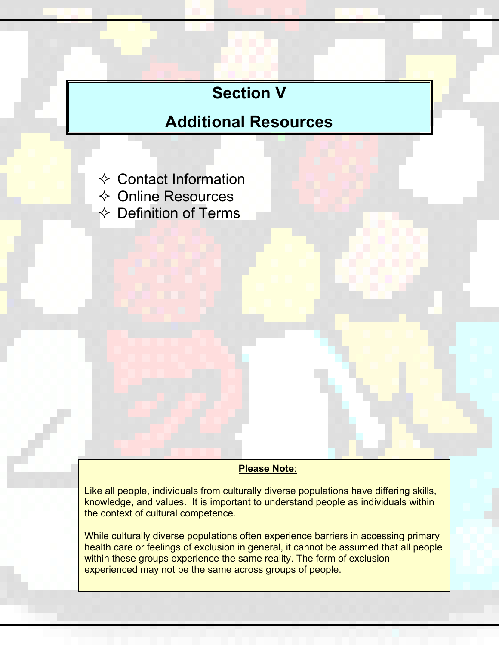# **Section V**

# **Additional Resources**

- $\Leftrightarrow$  Contact Information
- Online Resources

 $\Leftrightarrow$  Definition of Terms

#### **Please Note**:

Like all people, individuals from culturally diverse populations have differing skills, knowledge, and values. It is important to understand people as individuals within the context of cultural competence.

While culturally diverse populations often experience barriers in accessing primary health care or feelings of exclusion in general, it cannot be assumed that all people within these groups experience the same reality. The form of exclusion experienced may not be the same across groups of people.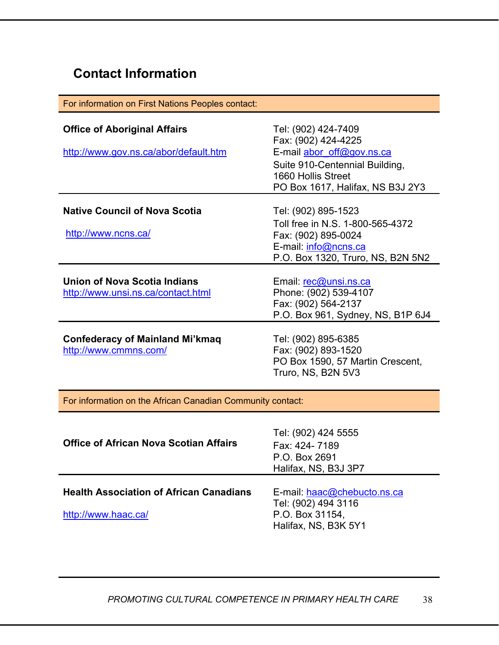# **Contact Information**

| For information on First Nations Peoples contact:                            |                                                                                                                                                                     |
|------------------------------------------------------------------------------|---------------------------------------------------------------------------------------------------------------------------------------------------------------------|
| <b>Office of Aboriginal Affairs</b><br>http://www.gov.ns.ca/abor/default.htm | Tel: (902) 424-7409<br>Fax: (902) 424-4225<br>E-mail abor off@gov.ns.ca<br>Suite 910-Centennial Building,<br>1660 Hollis Street<br>PO Box 1617, Halifax, NS B3J 2Y3 |
| <b>Native Council of Nova Scotia</b><br>http://www.ncns.ca/                  | Tel: (902) 895-1523<br>Toll free in N.S. 1-800-565-4372<br>Fax: (902) 895-0024<br>E-mail: info@ncns.ca<br>P.O. Box 1320, Truro, NS, B2N 5N2                         |
| Union of Nova Scotia Indians<br>http://www.unsi.ns.ca/contact.html           | Email: rec@unsi.ns.ca<br>Phone: (902) 539-4107<br>Fax: (902) 564-2137<br>P.O. Box 961, Sydney, NS, B1P 6J4                                                          |
| <b>Confederacy of Mainland Mi'kmaq</b><br>http://www.cmmns.com/              | Tel: (902) 895-6385<br>Fax: (902) 893-1520<br>PO Box 1590, 57 Martin Crescent,<br>Truro, NS, B2N 5V3                                                                |
| For information on the African Canadian Community contact:                   |                                                                                                                                                                     |
| <b>Office of African Nova Scotian Affairs</b>                                | Tel: (902) 424 5555<br>Fax: 424-7189<br>P.O. Box 2691<br>Halifax, NS, B3J 3P7                                                                                       |

**Health Association of African Canadians**  http://www.haac.ca/ E-mail: haac@chebucto.ns.ca Tel: (902) 494 3116 P.O. Box 31154, Halifax, NS, B3K 5Y1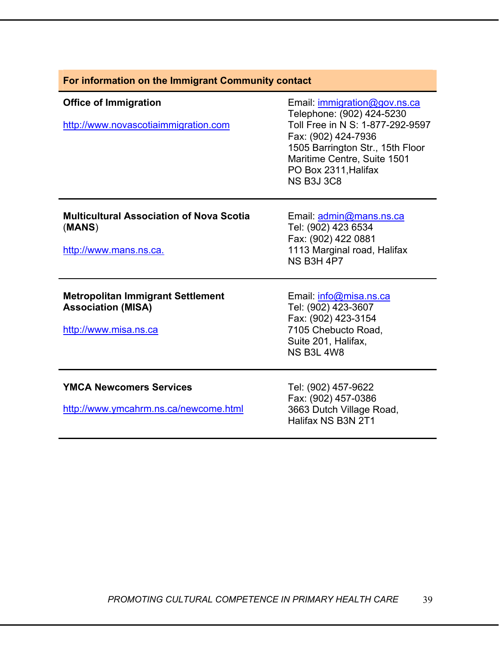| For information on the Immigrant Community contact                                             |                                                                                                                                                                                                                                      |
|------------------------------------------------------------------------------------------------|--------------------------------------------------------------------------------------------------------------------------------------------------------------------------------------------------------------------------------------|
| <b>Office of Immigration</b><br>http://www.novascotiaimmigration.com                           | Email: immigration@gov.ns.ca<br>Telephone: (902) 424-5230<br>Toll Free in N S: 1-877-292-9597<br>Fax: (902) 424-7936<br>1505 Barrington Str., 15th Floor<br>Maritime Centre, Suite 1501<br>PO Box 2311, Halifax<br><b>NS B3J 3C8</b> |
| <b>Multicultural Association of Nova Scotia</b><br>(MANS)<br>http://www.mans.ns.ca.            | Email: admin@mans.ns.ca<br>Tel: (902) 423 6534<br>Fax: (902) 422 0881<br>1113 Marginal road, Halifax<br><b>NS B3H 4P7</b>                                                                                                            |
| <b>Metropolitan Immigrant Settlement</b><br><b>Association (MISA)</b><br>http://www.misa.ns.ca | Email: info@misa.ns.ca<br>Tel: (902) 423-3607<br>Fax: (902) 423-3154<br>7105 Chebucto Road,<br>Suite 201, Halifax,<br><b>NS B3L 4W8</b>                                                                                              |
| <b>YMCA Newcomers Services</b><br>http://www.ymcahrm.ns.ca/newcome.html                        | Tel: (902) 457-9622<br>Fax: (902) 457-0386<br>3663 Dutch Village Road,<br>Halifax NS B3N 2T1                                                                                                                                         |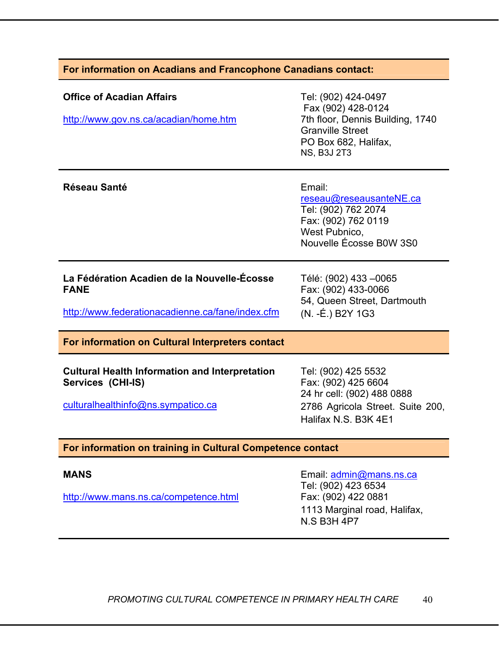#### **For information on Acadians and Francophone Canadians contact:**

| <b>Office of Acadian Affairs</b><br>http://www.gov.ns.ca/acadian/home.htm                                        | Tel: (902) 424-0497<br>Fax (902) 428-0124<br>7th floor, Dennis Building, 1740<br><b>Granville Street</b><br>PO Box 682, Halifax,<br><b>NS, B3J 2T3</b> |
|------------------------------------------------------------------------------------------------------------------|--------------------------------------------------------------------------------------------------------------------------------------------------------|
| <b>Réseau Santé</b>                                                                                              | Email:<br>reseau@reseausanteNE.ca<br>Tel: (902) 762 2074<br>Fax: (902) 762 0119<br>West Pubnico,<br>Nouvelle Écosse B0W 3S0                            |
| La Fédération Acadien de la Nouvelle-Écosse<br><b>FANE</b><br>http://www.federationacadienne.ca/fane/index.cfm   | Télé: (902) 433 - 0065<br>Fax: (902) 433-0066<br>54, Queen Street, Dartmouth<br>(N. -É.) B2Y 1G3                                                       |
| For information on Cultural Interpreters contact                                                                 |                                                                                                                                                        |
| <b>Cultural Health Information and Interpretation</b><br>Services (CHI-IS)<br>culturalhealthinfo@ns.sympatico.ca | Tel: (902) 425 5532<br>Fax: (902) 425 6604<br>24 hr cell: (902) 488 0888<br>2786 Agricola Street. Suite 200,<br>Halifax N.S. B3K 4E1                   |
| For information on training in Cultural Competence contact                                                       |                                                                                                                                                        |
| <b>MANS</b><br>http://www.mans.ns.ca/competence.html                                                             | Email: admin@mans.ns.ca<br>Tel: (902) 423 6534<br>Fax: (902) 422 0881                                                                                  |

**PROMOTING CULTURAL COMPETENCE IN PRIMARY HEALTH CARE** 40

1113 Marginal road, Halifax,

N.S B3H 4P7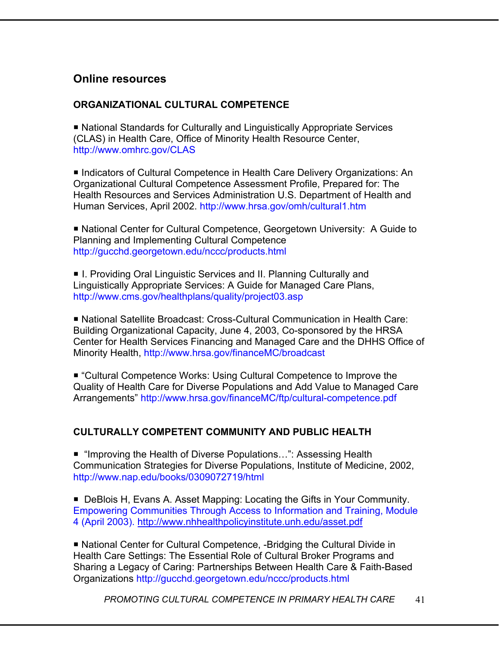### **Online resources**

#### **ORGANIZATIONAL CULTURAL COMPETENCE**

■ National Standards for Culturally and Linguistically Appropriate Services (CLAS) in Health Care, Office of Minority Health Resource Center, http://www.omhrc.gov/CLAS

■ Indicators of Cultural Competence in Health Care Delivery Organizations: An Organizational Cultural Competence Assessment Profile, Prepared for: The Health Resources and Services Administration U.S. Department of Health and Human Services, April 2002. http://www.hrsa.gov/omh/cultural1.htm

■ National Center for Cultural Competence, Georgetown University: A Guide to Planning and Implementing Cultural Competence http://gucchd.georgetown.edu/nccc/products.html

■ I. Providing Oral Linguistic Services and II. Planning Culturally and Linguistically Appropriate Services: A Guide for Managed Care Plans, http://www.cms.gov/healthplans/quality/project03.asp

 National Satellite Broadcast: Cross-Cultural Communication in Health Care: Building Organizational Capacity, June 4, 2003, Co-sponsored by the HRSA Center for Health Services Financing and Managed Care and the DHHS Office of Minority Health, http://www.hrsa.gov/financeMC/broadcast

 "Cultural Competence Works: Using Cultural Competence to Improve the Quality of Health Care for Diverse Populations and Add Value to Managed Care Arrangements" http://www.hrsa.gov/financeMC/ftp/cultural-competence.pdf

#### **CULTURALLY COMPETENT COMMUNITY AND PUBLIC HEALTH**

■ "Improving the Health of Diverse Populations...": Assessing Health Communication Strategies for Diverse Populations, Institute of Medicine, 2002, http://www.nap.edu/books/0309072719/html

■ DeBlois H, Evans A. Asset Mapping: Locating the Gifts in Your Community. Empowering Communities Through Access to Information and Training, Module 4 (April 2003). http://www.nhhealthpolicyinstitute.unh.edu/asset.pdf

■ National Center for Cultural Competence, -Bridging the Cultural Divide in Health Care Settings: The Essential Role of Cultural Broker Programs and Sharing a Legacy of Caring: Partnerships Between Health Care & Faith-Based Organizations http://gucchd.georgetown.edu/nccc/products.html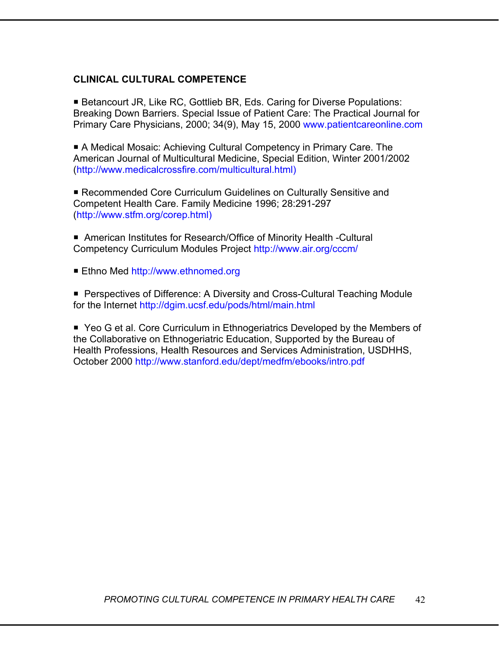#### **CLINICAL CULTURAL COMPETENCE**

■ Betancourt JR, Like RC, Gottlieb BR, Eds. Caring for Diverse Populations: Breaking Down Barriers. Special Issue of Patient Care: The Practical Journal for Primary Care Physicians, 2000; 34(9), May 15, 2000 www.patientcareonline.com

 A Medical Mosaic: Achieving Cultural Competency in Primary Care. The American Journal of Multicultural Medicine, Special Edition, Winter 2001/2002 (http://www.medicalcrossfire.com/multicultural.html)

 Recommended Core Curriculum Guidelines on Culturally Sensitive and Competent Health Care. Family Medicine 1996; 28:291-297 (http://www.stfm.org/corep.html)

■ American Institutes for Research/Office of Minority Health -Cultural Competency Curriculum Modules Project http://www.air.org/cccm/

■ Ethno Med http://www.ethnomed.org

■ Perspectives of Difference: A Diversity and Cross-Cultural Teaching Module for the Internet http://dgim.ucsf.edu/pods/html/main.html

■ Yeo G et al. Core Curriculum in Ethnogeriatrics Developed by the Members of the Collaborative on Ethnogeriatric Education, Supported by the Bureau of Health Professions, Health Resources and Services Administration, USDHHS, October 2000 http://www.stanford.edu/dept/medfm/ebooks/intro.pdf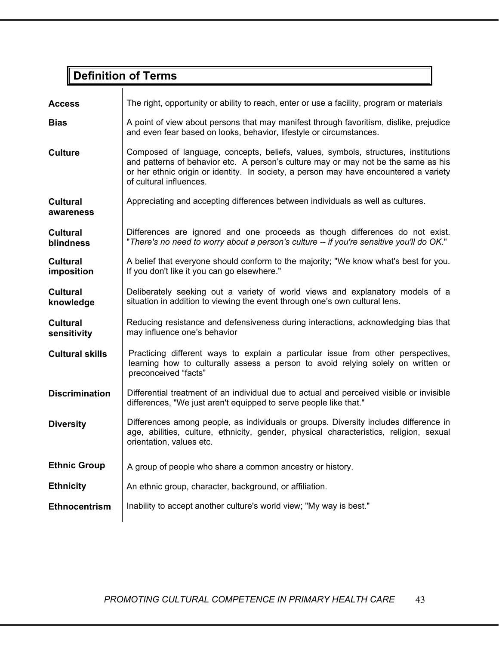# **Definition of Terms**

| <b>Access</b>                       | The right, opportunity or ability to reach, enter or use a facility, program or materials                                                                                                                                                                                                    |
|-------------------------------------|----------------------------------------------------------------------------------------------------------------------------------------------------------------------------------------------------------------------------------------------------------------------------------------------|
| <b>Bias</b>                         | A point of view about persons that may manifest through favoritism, dislike, prejudice<br>and even fear based on looks, behavior, lifestyle or circumstances.                                                                                                                                |
| <b>Culture</b>                      | Composed of language, concepts, beliefs, values, symbols, structures, institutions<br>and patterns of behavior etc. A person's culture may or may not be the same as his<br>or her ethnic origin or identity. In society, a person may have encountered a variety<br>of cultural influences. |
| <b>Cultural</b><br>awareness        | Appreciating and accepting differences between individuals as well as cultures.                                                                                                                                                                                                              |
| <b>Cultural</b><br><b>blindness</b> | Differences are ignored and one proceeds as though differences do not exist.<br>"There's no need to worry about a person's culture -- if you're sensitive you'll do OK."                                                                                                                     |
| <b>Cultural</b><br>imposition       | A belief that everyone should conform to the majority; "We know what's best for you.<br>If you don't like it you can go elsewhere."                                                                                                                                                          |
| <b>Cultural</b><br>knowledge        | Deliberately seeking out a variety of world views and explanatory models of a<br>situation in addition to viewing the event through one's own cultural lens.                                                                                                                                 |
| <b>Cultural</b><br>sensitivity      | Reducing resistance and defensiveness during interactions, acknowledging bias that<br>may influence one's behavior                                                                                                                                                                           |
| <b>Cultural skills</b>              | Practicing different ways to explain a particular issue from other perspectives,<br>learning how to culturally assess a person to avoid relying solely on written or<br>preconceived "facts"                                                                                                 |
| <b>Discrimination</b>               | Differential treatment of an individual due to actual and perceived visible or invisible<br>differences, "We just aren't equipped to serve people like that."                                                                                                                                |
| <b>Diversity</b>                    | Differences among people, as individuals or groups. Diversity includes difference in<br>age, abilities, culture, ethnicity, gender, physical characteristics, religion, sexual<br>orientation, values etc.                                                                                   |
| <b>Ethnic Group</b>                 | A group of people who share a common ancestry or history.                                                                                                                                                                                                                                    |
| <b>Ethnicity</b>                    | An ethnic group, character, background, or affiliation.                                                                                                                                                                                                                                      |
| <b>Ethnocentrism</b>                | Inability to accept another culture's world view; "My way is best."                                                                                                                                                                                                                          |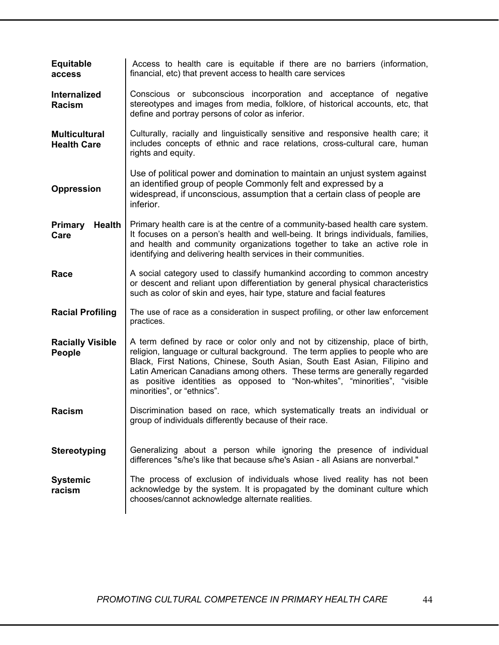| <b>Equitable</b><br>access                 | Access to health care is equitable if there are no barriers (information,<br>financial, etc) that prevent access to health care services                                                                                                                                                                                                                                                                                            |
|--------------------------------------------|-------------------------------------------------------------------------------------------------------------------------------------------------------------------------------------------------------------------------------------------------------------------------------------------------------------------------------------------------------------------------------------------------------------------------------------|
| <b>Internalized</b><br><b>Racism</b>       | Conscious or subconscious incorporation and acceptance of negative<br>stereotypes and images from media, folklore, of historical accounts, etc, that<br>define and portray persons of color as inferior.                                                                                                                                                                                                                            |
| <b>Multicultural</b><br><b>Health Care</b> | Culturally, racially and linguistically sensitive and responsive health care; it<br>includes concepts of ethnic and race relations, cross-cultural care, human<br>rights and equity.                                                                                                                                                                                                                                                |
| <b>Oppression</b>                          | Use of political power and domination to maintain an unjust system against<br>an identified group of people Commonly felt and expressed by a<br>widespread, if unconscious, assumption that a certain class of people are<br>inferior.                                                                                                                                                                                              |
| Primary<br><b>Health</b><br>Care           | Primary health care is at the centre of a community-based health care system.<br>It focuses on a person's health and well-being. It brings individuals, families,<br>and health and community organizations together to take an active role in<br>identifying and delivering health services in their communities.                                                                                                                  |
| Race                                       | A social category used to classify humankind according to common ancestry<br>or descent and reliant upon differentiation by general physical characteristics<br>such as color of skin and eyes, hair type, stature and facial features                                                                                                                                                                                              |
| <b>Racial Profiling</b>                    | The use of race as a consideration in suspect profiling, or other law enforcement<br>practices.                                                                                                                                                                                                                                                                                                                                     |
| <b>Racially Visible</b><br>People          | A term defined by race or color only and not by citizenship, place of birth,<br>religion, language or cultural background. The term applies to people who are<br>Black, First Nations, Chinese, South Asian, South East Asian, Filipino and<br>Latin American Canadians among others. These terms are generally regarded<br>as positive identities as opposed to "Non-whites", "minorities", "visible<br>minorities", or "ethnics". |
| <b>Racism</b>                              | Discrimination based on race, which systematically treats an individual or<br>group of individuals differently because of their race                                                                                                                                                                                                                                                                                                |
| <b>Stereotyping</b>                        | Generalizing about a person while ignoring the presence of individual<br>differences "s/he's like that because s/he's Asian - all Asians are nonverbal."                                                                                                                                                                                                                                                                            |
| <b>Systemic</b><br>racism                  | The process of exclusion of individuals whose lived reality has not been<br>acknowledge by the system. It is propagated by the dominant culture which<br>chooses/cannot acknowledge alternate realities.                                                                                                                                                                                                                            |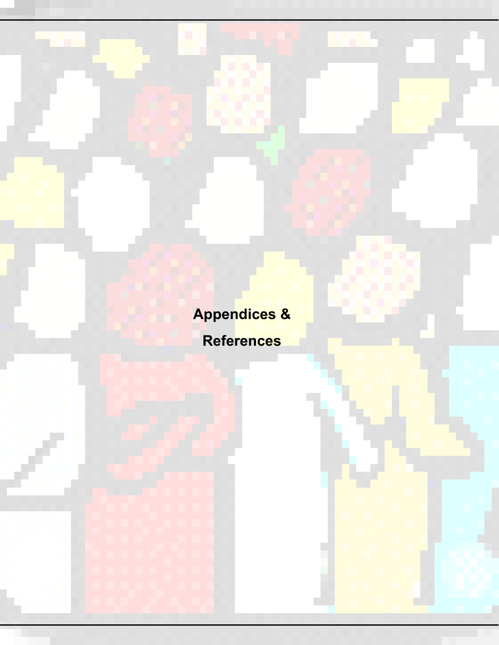**Appendices & References**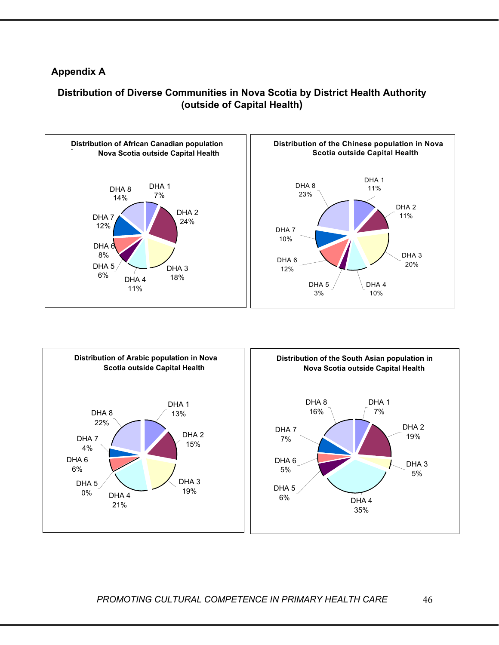#### **Appendix A**





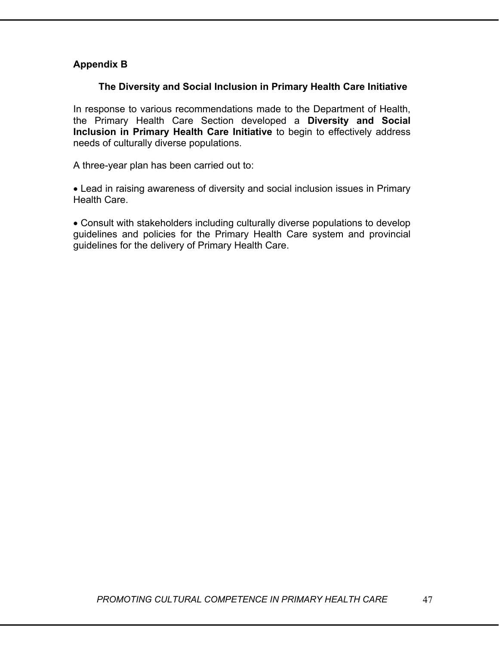#### **Appendix B**

#### **The Diversity and Social Inclusion in Primary Health Care Initiative**

In response to various recommendations made to the Department of Health, the Primary Health Care Section developed a **Diversity and Social Inclusion in Primary Health Care Initiative** to begin to effectively address needs of culturally diverse populations.

A three-year plan has been carried out to:

• Lead in raising awareness of diversity and social inclusion issues in Primary Health Care.

• Consult with stakeholders including culturally diverse populations to develop guidelines and policies for the Primary Health Care system and provincial guidelines for the delivery of Primary Health Care.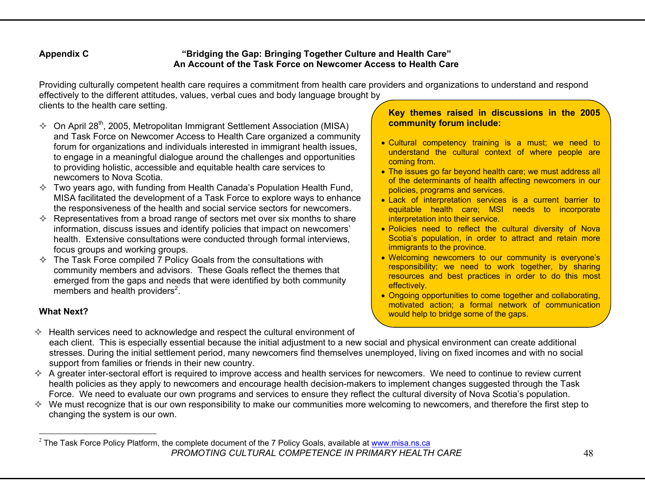#### **Appendix C "Bridging the Gap: Bringing Together Culture and Health Care" An Account of the Task Force on Newcomer Access to Health Care**

Providing culturally competent health care requires a commitment from health care providers and organizations to understand and respond effectively to the different attitudes, values, verbal cues and body language brought by clients to the health care setting.

- $\Diamond$  On April 28<sup>th</sup>, 2005, Metropolitan Immigrant Settlement Association (MISA) and Task Force on Newcomer Access to Health Care organized a community forum for organizations and individuals interested in immigrant health issues, to engage in a meaningful dialogue around the challenges and opportunities to providing holistic, accessible and equitable health care services to newcomers to Nova Scotia.
- $\Diamond$  Two years ago, with funding from Health Canada's Population Health Fund, MISA facilitated the development of a Task Force to explore ways to enhance the responsiveness of the health and social service sectors for newcomers.
- $\Diamond$  Representatives from a broad range of sectors met over six months to share information, discuss issues and identify policies that impact on newcomers' health. Extensive consultations were conducted through formal interviews, focus groups and working groups.
- $\Diamond$  The Task Force compiled 7 Policy Goals from the consultations with community members and advisors. These Goals reflect the themes that emerged from the gaps and needs that were identified by both community members and health providers $2$ .

#### **What Next?**

#### **Key themes raised in discussions in the 2005 community forum include:**

- Cultural competency training is a must; we need to understand the cultural context of where people are coming from.
- The issues go far beyond health care; we must address all of the determinants of health affecting newcomers in our policies, programs and services.
- Lack of interpretation services is a current barrier to equitable health care; MSI needs to incorporate interpretation into their service.
- Policies need to reflect the cultural diversity of Nova Scotia's population, in order to attract and retain more immigrants to the province.
- Welcoming newcomers to our community is everyone's responsibility; we need to work together, by sharing resources and best practices in order to do this most effectively.
- Ongoing opportunities to come together and collaborating, motivated action; a formal network of communication would help to bridge some of the gaps.
- $\Diamond$  Health services need to acknowledge and respect the cultural environment of each client. This is especially essential because the initial adjustment to a new social and physical environment can create additional stresses. During the initial settlement period, many newcomers find themselves unemployed, living on fixed incomes and with no social support from families or friends in their new country.
- $\Diamond$  A greater inter-sectoral effort is required to improve access and health services for newcomers. We need to continue to review current health policies as they apply to newcomers and encourage health decision-makers to implement changes suggested through the Task Force. We need to evaluate our own programs and services to ensure they reflect the cultural diversity of Nova Scotia's population.
- $\Diamond$  We must recognize that is our own responsibility to make our communities more welcoming to newcomers, and therefore the first step to changing the system is our own.

*PROMOTING CULTURAL COMPETENCE IN PRIMARY HEALTH CARE* $^2$  The Task Force Policy Platform, the complete document of the 7 Policy Goals, available at www.misa.ns.ca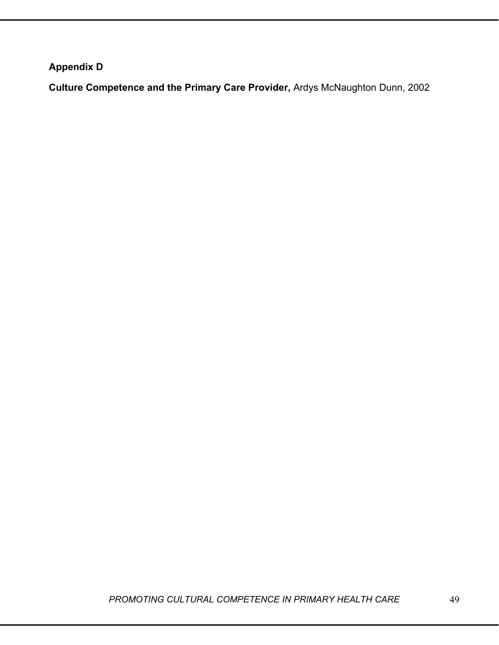**Appendix D** 

**Culture Competence and the Primary Care Provider,** Ardys McNaughton Dunn, 2002